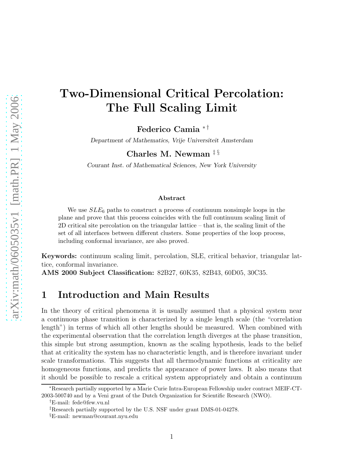# Two-Dimensional Critical Percolation: The Full Scaling Limit

Federico Camia ∗ †

Department of Mathematics, Vrije Universiteit Amsterdam

Charles M. Newman ‡ §

Courant Inst. of Mathematical Sciences, New York University

#### Abstract

We use  $SLE_6$  paths to construct a process of continuum nonsimple loops in the plane and prove that this process coincides with the full continuum scaling limit of 2D critical site percolation on the triangular lattice – that is, the scaling limit of the set of all interfaces between different clusters. Some properties of the loop process, including conformal invariance, are also proved.

Keywords: continuum scaling limit, percolation, SLE, critical behavior, triangular lattice, conformal invariance.

AMS 2000 Subject Classification: 82B27, 60K35, 82B43, 60D05, 30C35.

# 1 Introduction and Main Results

In the theory of critical phenomena it is usually assumed that a physical system near a continuous phase transition is characterized by a single length scale (the "correlation length") in terms of which all other lengths should be measured. When combined with the experimental observation that the correlation length diverges at the phase transition, this simple but strong assumption, known as the scaling hypothesis, leads to the belief that at criticality the system has no characteristic length, and is therefore invariant under scale transformations. This suggests that all thermodynamic functions at criticality are homogeneous functions, and predicts the appearance of power laws. It also means that it should be possible to rescale a critical system appropriately and obtain a continuum

<sup>∗</sup>Research partially supported by a Marie Curie Intra-European Fellowship under contract MEIF-CT-2003-500740 and by a Veni grant of the Dutch Organization for Scientific Research (NWO).

<sup>†</sup>E-mail: fede@few.vu.nl

<sup>‡</sup>Research partially supported by the U.S. NSF under grant DMS-01-04278.

<sup>§</sup>E-mail: newman@courant.nyu.edu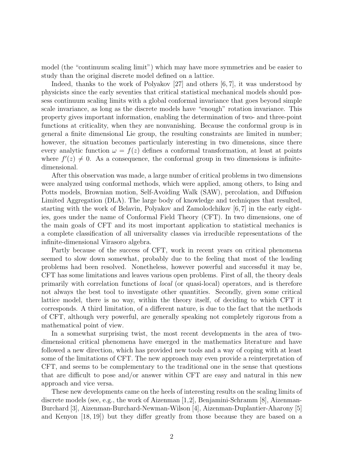model (the "continuum scaling limit") which may have more symmetries and be easier to study than the original discrete model defined on a lattice.

Indeed, thanks to the work of Polyakov [27] and others [6, 7], it was understood by physicists since the early seventies that critical statistical mechanical models should possess continuum scaling limits with a global conformal invariance that goes beyond simple scale invariance, as long as the discrete models have "enough" rotation invariance. This property gives important information, enabling the determination of two- and three-point functions at criticality, when they are nonvanishing. Because the conformal group is in general a finite dimensional Lie group, the resulting constraints are limited in number; however, the situation becomes particularly interesting in two dimensions, since there every analytic function  $\omega = f(z)$  defines a conformal transformation, at least at points where  $f'(z) \neq 0$ . As a consequence, the conformal group in two dimensions is infinitedimensional.

After this observation was made, a large number of critical problems in two dimensions were analyzed using conformal methods, which were applied, among others, to Ising and Potts models, Brownian motion, Self-Avoiding Walk (SAW), percolation, and Diffusion Limited Aggregation (DLA). The large body of knowledge and techniques that resulted, starting with the work of Belavin, Polyakov and Zamolodchikov [6, 7] in the early eighties, goes under the name of Conformal Field Theory (CFT). In two dimensions, one of the main goals of CFT and its most important application to statistical mechanics is a complete classification of all universality classes via irreducible representations of the infinite-dimensional Virasoro algebra.

Partly because of the success of CFT, work in recent years on critical phenomena seemed to slow down somewhat, probably due to the feeling that most of the leading problems had been resolved. Nonetheless, however powerful and successful it may be, CFT has some limitations and leaves various open problems. First of all, the theory deals primarily with correlation functions of local (or quasi-local) operators, and is therefore not always the best tool to investigate other quantities. Secondly, given some critical lattice model, there is no way, within the theory itself, of deciding to which CFT it corresponds. A third limitation, of a different nature, is due to the fact that the methods of CFT, although very powerful, are generally speaking not completely rigorous from a mathematical point of view.

In a somewhat surprising twist, the most recent developments in the area of twodimensional critical phenomena have emerged in the mathematics literature and have followed a new direction, which has provided new tools and a way of coping with at least some of the limitations of CFT. The new approach may even provide a reinterpretation of CFT, and seems to be complementary to the traditional one in the sense that questions that are difficult to pose and/or answer within CFT are easy and natural in this new approach and vice versa.

These new developments came on the heels of interesting results on the scaling limits of discrete models (see, e.g., the work of Aizenman [1,2], Benjamini-Schramm [8], Aizenman-Burchard [3], Aizenman-Burchard-Newman-Wilson [4], Aizenman-Duplantier-Aharony [5] and Kenyon [18, 19]) but they differ greatly from those because they are based on a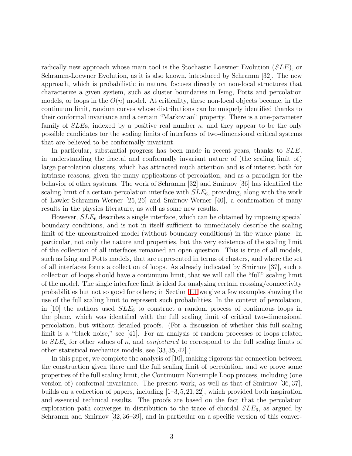radically new approach whose main tool is the Stochastic Loewner Evolution (SLE), or Schramm-Loewner Evolution, as it is also known, introduced by Schramm [32]. The new approach, which is probabilistic in nature, focuses directly on non-local structures that characterize a given system, such as cluster boundaries in Ising, Potts and percolation models, or loops in the  $O(n)$  model. At criticality, these non-local objects become, in the continuum limit, random curves whose distributions can be uniquely identified thanks to their conformal invariance and a certain "Markovian" property. There is a one-parameter family of SLEs, indexed by a positive real number  $\kappa$ , and they appear to be the only possible candidates for the scaling limits of interfaces of two-dimensional critical systems that are believed to be conformally invariant.

In particular, substantial progress has been made in recent years, thanks to SLE, in understanding the fractal and conformally invariant nature of (the scaling limit of) large percolation clusters, which has attracted much attention and is of interest both for intrinsic reasons, given the many applications of percolation, and as a paradigm for the behavior of other systems. The work of Schramm [32] and Smirnov [36] has identified the scaling limit of a certain percolation interface with  $SLE_6$ , providing, along with the work of Lawler-Schramm-Werner [25, 26] and Smirnov-Werner [40], a confirmation of many results in the physics literature, as well as some new results.

However,  $SLE_6$  describes a single interface, which can be obtained by imposing special boundary conditions, and is not in itself sufficient to immediately describe the scaling limit of the unconstrained model (without boundary conditions) in the whole plane. In particular, not only the nature and properties, but the very existence of the scaling limit of the collection of all interfaces remained an open question. This is true of all models, such as Ising and Potts models, that are represented in terms of clusters, and where the set of all interfaces forms a collection of loops. As already indicated by Smirnov [37], such a collection of loops should have a continuum limit, that we will call the "full" scaling limit of the model. The single interface limit is ideal for analyzing certain crossing/connectivity probabilities but not so good for others; in Section [1.1](#page-3-0) we give a few examples showing the use of the full scaling limit to represent such probabilities. In the context of percolation, in [10] the authors used  $SLE_6$  to construct a random process of continuous loops in the plane, which was identified with the full scaling limit of critical two-dimensional percolation, but without detailed proofs. (For a discussion of whether this full scaling limit is a "black noise," see [41]. For an analysis of random processes of loops related to  $SLE_{\kappa}$  for other values of  $\kappa$ , and *conjectured* to correspond to the full scaling limits of other statistical mechanics models, see [33, 35, 42].)

In this paper, we complete the analysis of [10], making rigorous the connection between the construction given there and the full scaling limit of percolation, and we prove some properties of the full scaling limit, the Continuum Nonsimple Loop process, including (one version of) conformal invariance. The present work, as well as that of Smirnov [36, 37], builds on a collection of papers, including [1–3,5,21,22], which provided both inspiration and essential technical results. The proofs are based on the fact that the percolation exploration path converges in distribution to the trace of chordal  $SLE_6$ , as argued by Schramm and Smirnov [32, 36–39], and in particular on a specific version of this conver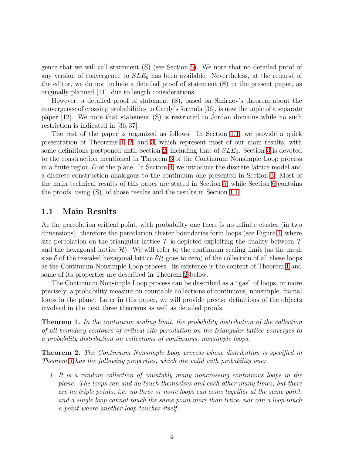gence that we will call statement (S) (see Section [5\)](#page-20-0). We note that no detailed proof of any version of convergence to  $SLE_6$  has been available. Nevertheless, at the request of the editor, we do not include a detailed proof of statement (S) in the present paper, as originally planned [11], due to length considerations.

However, a detailed proof of statement (S), based on Smirnov's theorem about the convergence of crossing probabilities to Cardy's formula [36], is now the topic of a separate paper [12]. We note that statement (S) is restricted to Jordan domains while no such restriction is indicated in [36, 37].

The rest of the paper is organized as follows. In Section [1.1,](#page-3-0) we provide a quick presentation of Theorems [1,](#page-3-1) [2,](#page-3-2) and [3,](#page-4-0) which represent most of our main results, with some definitions postponed until Section [2,](#page-6-0) including that of  $SLE_6$ . Section [3](#page-10-0) is devoted to the construction mentioned in Theorem [3](#page-4-0) of the Continuum Nonsimple Loop process in a finite region  $D$  of the plane. In Section [4,](#page-13-0) we introduce the discrete lattice model and a discrete construction analogous to the continuum one presented in Section [3.](#page-10-0) Most of the main technical results of this paper are stated in Section [5,](#page-20-0) while Section [6](#page-24-0) contains the proofs, using (S), of those results and the results in Section [1.1.](#page-3-0)

## <span id="page-3-0"></span>1.1 Main Results

At the percolation critical point, with probability one there is no infinite cluster (in two dimensions), therefore the percolation cluster boundaries form loops (see Figure [1,](#page-4-1) where site percolation on the triangular lattice  $\mathcal T$  is depicted exploiting the duality between  $\mathcal T$ and the hexagonal lattice  $\mathcal{H}$ ). We will refer to the continuum scaling limit (as the mesh size  $\delta$  of the rescaled hexagonal lattice  $\delta \mathcal{H}$  goes to zero) of the collection of all these loops as the Continuum Nonsimple Loop process. Its existence is the content of Theorem [1](#page-3-1) and some of its properties are described in Theorem [2](#page-3-2) below.

The Continuum Nonsimple Loop process can be described as a "gas" of loops, or more precisely, a probability measure on countable collections of continuous, nonsimple, fractal loops in the plane. Later in this paper, we will provide precise definitions of the objects involved in the next three theorems as well as detailed proofs.

<span id="page-3-1"></span>Theorem 1. In the continuum scaling limit, the probability distribution of the collection of all boundary contours of critical site percolation on the triangular lattice converges to a probability distribution on collections of continuous, nonsimple loops.

<span id="page-3-2"></span>Theorem 2. The Continuum Nonsimple Loop process whose distribution is specified in Theorem [1](#page-3-1) has the following properties, which are valid with probability one:

1. It is a random collection of countably many noncrossing continuous loops in the plane. The loops can and do touch themselves and each other many times, but there are no triple points; i.e. no three or more loops can come together at the same point, and a single loop cannot touch the same point more than twice, nor can a loop touch a point where another loop touches itself.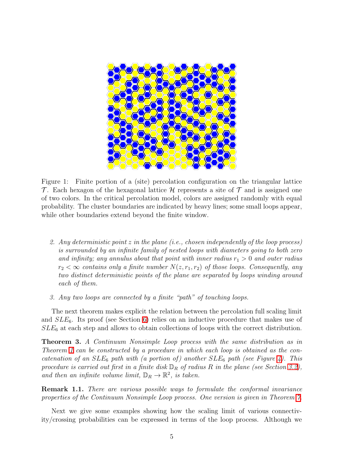

Figure 1: Finite portion of a (site) percolation configuration on the triangular lattice  $\mathcal T$ . Each hexagon of the hexagonal lattice  $\mathcal H$  represents a site of  $\mathcal T$  and is assigned one of two colors. In the critical percolation model, colors are assigned randomly with equal probability. The cluster boundaries are indicated by heavy lines; some small loops appear, while other boundaries extend beyond the finite window.

- <span id="page-4-1"></span>2. Any deterministic point z in the plane (i.e., chosen independently of the loop process) is surrounded by an infinite family of nested loops with diameters going to both zero and infinity; any annulus about that point with inner radius  $r_1 > 0$  and outer radius  $r_2 < \infty$  contains only a finite number  $N(z, r_1, r_2)$  of those loops. Consequently, any two distinct deterministic points of the plane are separated by loops winding around each of them.
- 3. Any two loops are connected by a finite "path" of touching loops.

The next theorem makes explicit the relation between the percolation full scaling limit and  $SLE_6$ . Its proof (see Section [6\)](#page-24-0) relies on an inductive procedure that makes use of  $SLE_6$  at each step and allows to obtain collections of loops with the correct distribution.

<span id="page-4-0"></span>Theorem 3. A Continuum Nonsimple Loop process with the same distribution as in Theorem [1](#page-3-1) can be constructed by a procedure in which each loop is obtained as the concatenation of an  $SLE_6$  path with (a portion of) another  $SLE_6$  path (see Figure [4\)](#page-10-1). This procedure is carried out first in a finite disk  $\mathbb{D}_R$  of radius R in the plane (see Section [3.2\)](#page-11-0), and then an infinite volume limit,  $\mathbb{D}_R \to \mathbb{R}^2$ , is taken.

Remark 1.1. There are various possible ways to formulate the conformal invariance properties of the Continuum Nonsimple Loop process. One version is given in Theorem [7.](#page-23-0)

Next we give some examples showing how the scaling limit of various connectivity/crossing probabilities can be expressed in terms of the loop process. Although we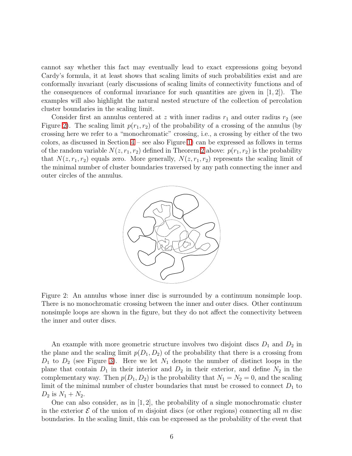cannot say whether this fact may eventually lead to exact expressions going beyond Cardy's formula, it at least shows that scaling limits of such probabilities exist and are conformally invariant (early discussions of scaling limits of connectivity functions and of the consequences of conformal invariance for such quantities are given in  $(1, 2)$ . The examples will also highlight the natural nested structure of the collection of percolation cluster boundaries in the scaling limit.

Consider first an annulus centered at z with inner radius  $r_1$  and outer radius  $r_2$  (see Figure [2\)](#page-5-0). The scaling limit  $p(r_1, r_2)$  of the probability of a crossing of the annulus (by crossing here we refer to a "monochromatic" crossing, i.e., a crossing by either of the two colors, as discussed in Section  $4$  – see also Figure [1\)](#page-4-1) can be expressed as follows in terms of the random variable  $N(z, r_1, r_2)$  defined in Theorem [2](#page-3-2) above:  $p(r_1, r_2)$  is the probability that  $N(z, r_1, r_2)$  equals zero. More generally,  $N(z, r_1, r_2)$  represents the scaling limit of the minimal number of cluster boundaries traversed by any path connecting the inner and outer circles of the annulus.



<span id="page-5-0"></span>Figure 2: An annulus whose inner disc is surrounded by a continuum nonsimple loop. There is no monochromatic crossing between the inner and outer discs. Other continuum nonsimple loops are shown in the figure, but they do not affect the connectivity between the inner and outer discs.

An example with more geometric structure involves two disjoint discs  $D_1$  and  $D_2$  in the plane and the scaling limit  $p(D_1, D_2)$  of the probability that there is a crossing from  $D_1$  to  $D_2$  (see Figure [3\)](#page-6-1). Here we let  $N_1$  denote the number of distinct loops in the plane that contain  $D_1$  in their interior and  $D_2$  in their exterior, and define  $N_2$  in the complementary way. Then  $p(D_1, D_2)$  is the probability that  $N_1 = N_2 = 0$ , and the scaling limit of the minimal number of cluster boundaries that must be crossed to connect  $D_1$  to  $D_2$  is  $N_1 + N_2$ .

One can also consider, as in  $[1, 2]$ , the probability of a single monochromatic cluster in the exterior  $\mathcal E$  of the union of m disjoint discs (or other regions) connecting all m disc boundaries. In the scaling limit, this can be expressed as the probability of the event that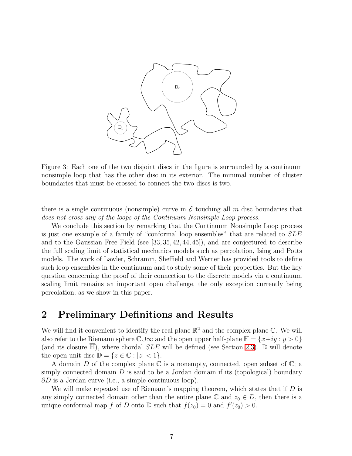

<span id="page-6-1"></span>Figure 3: Each one of the two disjoint discs in the figure is surrounded by a continuum nonsimple loop that has the other disc in its exterior. The minimal number of cluster boundaries that must be crossed to connect the two discs is two.

there is a single continuous (nonsimple) curve in  $\mathcal E$  touching all m disc boundaries that does not cross any of the loops of the Continuum Nonsimple Loop process.

We conclude this section by remarking that the Continuum Nonsimple Loop process is just one example of a family of "conformal loop ensembles" that are related to SLE and to the Gaussian Free Field (see [33, 35, 42, 44, 45]), and are conjectured to describe the full scaling limit of statistical mechanics models such as percolation, Ising and Potts models. The work of Lawler, Schramm, Sheffield and Werner has provided tools to define such loop ensembles in the continuum and to study some of their properties. But the key question concerning the proof of their connection to the discrete models via a continuum scaling limit remains an important open challenge, the only exception currently being percolation, as we show in this paper.

# <span id="page-6-0"></span>2 Preliminary Definitions and Results

We will find it convenient to identify the real plane  $\mathbb{R}^2$  and the complex plane  $\mathbb{C}$ . We will also refer to the Riemann sphere  $\mathbb{C} \cup \infty$  and the open upper half-plane  $\mathbb{H} = \{x+iy : y > 0\}$ (and its closure  $\overline{\mathbb{H}}$ ), where chordal  $SLE$  will be defined (see Section [2.3\)](#page-8-0).  $\mathbb{D}$  will denote the open unit disc  $\mathbb{D} = \{z \in \mathbb{C} : |z| < 1\}.$ 

A domain D of the complex plane  $\mathbb C$  is a nonempty, connected, open subset of  $\mathbb C$ ; a simply connected domain  $D$  is said to be a Jordan domain if its (topological) boundary  $\partial D$  is a Jordan curve (i.e., a simple continuous loop).

We will make repeated use of Riemann's mapping theorem, which states that if  $D$  is any simply connected domain other than the entire plane  $\mathbb C$  and  $z_0 \in D$ , then there is a unique conformal map f of D onto  $\mathbb D$  such that  $f(z_0) = 0$  and  $f'(z_0) > 0$ .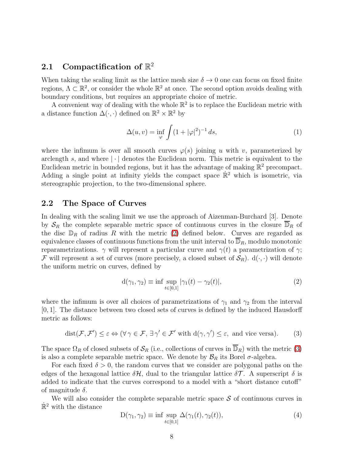# 2.1 Compactification of  $\mathbb{R}^2$

When taking the scaling limit as the lattice mesh size  $\delta \to 0$  one can focus on fixed finite regions,  $\Lambda \subset \mathbb{R}^2$ , or consider the whole  $\mathbb{R}^2$  at once. The second option avoids dealing with boundary conditions, but requires an appropriate choice of metric.

A convenient way of dealing with the whole  $\mathbb{R}^2$  is to replace the Euclidean metric with a distance function  $\Delta(\cdot, \cdot)$  defined on  $\mathbb{R}^2 \times \mathbb{R}^2$  by

$$
\Delta(u,v) = \inf_{\varphi} \int (1 + |\varphi|^2)^{-1} ds,
$$
\n(1)

where the infimum is over all smooth curves  $\varphi(s)$  joining u with v, parameterized by arclength s, and where  $|\cdot|$  denotes the Euclidean norm. This metric is equivalent to the Euclidean metric in bounded regions, but it has the advantage of making  $\mathbb{R}^2$  precompact. Adding a single point at infinity yields the compact space  $\mathbb{R}^2$  which is isometric, via stereographic projection, to the two-dimensional sphere.

#### <span id="page-7-2"></span>2.2 The Space of Curves

In dealing with the scaling limit we use the approach of Aizenman-Burchard [3]. Denote by  $S_R$  the complete separable metric space of continuous curves in the closure  $\overline{\mathbb{D}}_R$  of the disc  $\mathbb{D}_R$  of radius R with the metric [\(2\)](#page-7-0) defined below. Curves are regarded as equivalence classes of continuous functions from the unit interval to  $\overline{\mathbb{D}}_R$ , modulo monotonic reparametrizations.  $\gamma$  will represent a particular curve and  $\gamma(t)$  a parametrization of  $\gamma$ ; F will represent a set of curves (more precisely, a closed subset of  $\mathcal{S}_R$ ).  $d(\cdot, \cdot)$  will denote the uniform metric on curves, defined by

<span id="page-7-0"></span>
$$
d(\gamma_1, \gamma_2) \equiv \inf \sup_{t \in [0,1]} |\gamma_1(t) - \gamma_2(t)|,
$$
\n(2)

<span id="page-7-1"></span>where the infimum is over all choices of parametrizations of  $\gamma_1$  and  $\gamma_2$  from the interval [0, 1]. The distance between two closed sets of curves is defined by the induced Hausdorff metric as follows:

$$
dist(\mathcal{F}, \mathcal{F}') \le \varepsilon \Leftrightarrow (\forall \gamma \in \mathcal{F}, \exists \gamma' \in \mathcal{F}' \text{ with } d(\gamma, \gamma') \le \varepsilon, \text{ and vice versa}). \tag{3}
$$

The space  $\Omega_R$  of closed subsets of  $\mathcal{S}_R$  (i.e., collections of curves in  $\overline{\mathbb{D}}_R$ ) with the metric [\(3\)](#page-7-1) is also a complete separable metric space. We denote by  $\mathcal{B}_R$  its Borel  $\sigma$ -algebra.

For each fixed  $\delta > 0$ , the random curves that we consider are polygonal paths on the edges of the hexagonal lattice  $\delta \mathcal{H}$ , dual to the triangular lattice  $\delta \mathcal{T}$ . A superscript  $\delta$  is added to indicate that the curves correspond to a model with a "short distance cutoff" of magnitude  $\delta$ .

We will also consider the complete separable metric space  $S$  of continuous curves in  $\mathbb{R}^2$  with the distance

$$
D(\gamma_1, \gamma_2) \equiv \inf \sup_{t \in [0,1]} \Delta(\gamma_1(t), \gamma_2(t)), \tag{4}
$$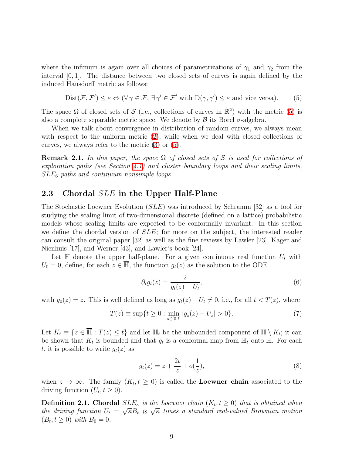where the infimum is again over all choices of parametrizations of  $\gamma_1$  and  $\gamma_2$  from the interval [0, 1]. The distance between two closed sets of curves is again defined by the induced Hausdorff metric as follows:

<span id="page-8-1"></span>
$$
Dist(\mathcal{F}, \mathcal{F}') \le \varepsilon \Leftrightarrow (\forall \gamma \in \mathcal{F}, \exists \gamma' \in \mathcal{F}' \text{ with } D(\gamma, \gamma') \le \varepsilon \text{ and vice versa}). \tag{5}
$$

The space  $\Omega$  of closed sets of S (i.e., collections of curves in  $\mathbb{R}^2$ ) with the metric [\(5\)](#page-8-1) is also a complete separable metric space. We denote by  $\beta$  its Borel  $\sigma$ -algebra.

When we talk about convergence in distribution of random curves, we always mean with respect to the uniform metric [\(2\)](#page-7-0), while when we deal with closed collections of curves, we always refer to the metric [\(3\)](#page-7-1) or [\(5\)](#page-8-1).

**Remark 2.1.** In this paper, the space  $\Omega$  of closed sets of S is used for collections of exploration paths (see Section [4.1\)](#page-14-0) and cluster boundary loops and their scaling limits,  $SLE_6$  paths and continuum nonsimple loops.

#### <span id="page-8-0"></span>2.3 Chordal *SLE* in the Upper Half-Plane

The Stochastic Loewner Evolution (SLE) was introduced by Schramm [32] as a tool for studying the scaling limit of two-dimensional discrete (defined on a lattice) probabilistic models whose scaling limits are expected to be conformally invariant. In this section we define the chordal version of SLE; for more on the subject, the interested reader can consult the original paper [32] as well as the fine reviews by Lawler [23], Kager and Nienhuis [17], and Werner [43], and Lawler's book [24].

Let  $\mathbb H$  denote the upper half-plane. For a given continuous real function  $U_t$  with  $U_0 = 0$ , define, for each  $z \in \overline{\mathbb{H}}$ , the function  $g_t(z)$  as the solution to the ODE

$$
\partial_t g_t(z) = \frac{2}{g_t(z) - U_t},\tag{6}
$$

with  $g_0(z) = z$ . This is well defined as long as  $g_t(z) - U_t \neq 0$ , i.e., for all  $t < T(z)$ , where

$$
T(z) \equiv \sup \{ t \ge 0 : \min_{s \in [0,t]} |g_s(z) - U_s| > 0 \}. \tag{7}
$$

Let  $K_t \equiv \{z \in \overline{\mathbb{H}} : T(z) \leq t\}$  and let  $\mathbb{H}_t$  be the unbounded component of  $\mathbb{H} \setminus K_t$ ; it can be shown that  $K_t$  is bounded and that  $g_t$  is a conformal map from  $\mathbb{H}_t$  onto  $\mathbb{H}$ . For each t, it is possible to write  $q_t(z)$  as

$$
g_t(z) = z + \frac{2t}{z} + o(\frac{1}{z}),
$$
\n(8)

when  $z \to \infty$ . The family  $(K_t, t \geq 0)$  is called the **Loewner chain** associated to the driving function  $(U_t, t \ge 0)$ .

**Definition 2.1. Chordal**  $SLE_{\kappa}$  is the Loewner chain  $(K_t, t \geq 0)$  that is obtained when the driving function  $U_t = \sqrt{\kappa} B_t$  is  $\sqrt{\kappa}$  times a standard real-valued Brownian motion  $(B_t, t \ge 0)$  with  $B_0 = 0$ .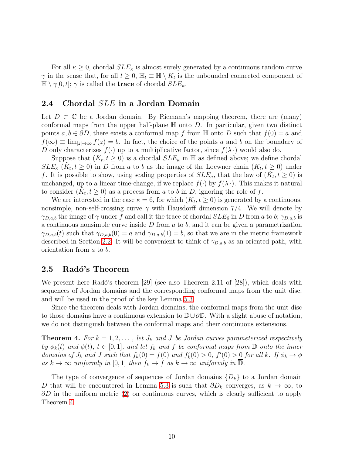For all  $\kappa \geq 0$ , chordal  $SLE_{\kappa}$  is almost surely generated by a continuous random curve  $\gamma$  in the sense that, for all  $t \geq 0$ ,  $\mathbb{H}_t \equiv \mathbb{H} \setminus K_t$  is the unbounded connected component of  $\mathbb{H} \setminus \gamma[0, t]; \gamma$  is called the **trace** of chordal  $SLE_{\kappa}$ .

### <span id="page-9-1"></span>2.4 Chordal *SLE* in a Jordan Domain

Let  $D \subset \mathbb{C}$  be a Jordan domain. By Riemann's mapping theorem, there are (many) conformal maps from the upper half-plane  $\mathbb H$  onto D. In particular, given two distinct points  $a, b \in \partial D$ , there exists a conformal map f from H onto D such that  $f(0) = a$  and  $f(\infty) \equiv \lim_{|z| \to \infty} f(z) = b$ . In fact, the choice of the points a and b on the boundary of D only characterizes  $f(\cdot)$  up to a multiplicative factor, since  $f(\lambda)$  would also do.

Suppose that  $(K_t, t \geq 0)$  is a chordal  $SLE_{\kappa}$  in  $\mathbb{H}$  as defined above; we define chordal  $SLE_{\kappa}(\tilde{K}_t, t \geq 0)$  in D from a to b as the image of the Loewner chain  $(K_t, t \geq 0)$  under f. It is possible to show, using scaling properties of  $SLE_{\kappa}$ , that the law of  $(\tilde{K}_t, t \ge 0)$  is unchanged, up to a linear time-change, if we replace  $f(\cdot)$  by  $f(\lambda \cdot)$ . This makes it natural to consider  $(\tilde{K}_t, t \geq 0)$  as a process from a to b in D, ignoring the role of f.

We are interested in the case  $\kappa = 6$ , for which  $(K_t, t \ge 0)$  is generated by a continuous, nonsimple, non-self-crossing curve  $\gamma$  with Hausdorff dimension 7/4. We will denote by  $\gamma_{D,a,b}$  the image of  $\gamma$  under f and call it the trace of chordal  $SLE_6$  in D from a to b;  $\gamma_{D,a,b}$  is a continuous nonsimple curve inside  $D$  from  $a$  to  $b$ , and it can be given a parametrization  $\gamma_{D,a,b}(t)$  such that  $\gamma_{D,a,b}(0) = a$  and  $\gamma_{D,a,b}(1) = b$ , so that we are in the metric framework described in Section [2.2.](#page-7-2) It will be convenient to think of  $\gamma_{D,a,b}$  as an oriented path, with orientation from a to b.

#### <span id="page-9-2"></span>2.5 Radó's Theorem

We present here Radó's theorem  $[29]$  (see also Theorem 2.11 of  $[28]$ ), which deals with sequences of Jordan domains and the corresponding conformal maps from the unit disc, and will be used in the proof of the key Lemma [5.3.](#page-21-0)

Since the theorem deals with Jordan domains, the conformal maps from the unit disc to those domains have a continuous extension to <sup>D</sup>∪∂D. With a slight abuse of notation, we do not distinguish between the conformal maps and their continuous extensions.

<span id="page-9-0"></span>**Theorem 4.** For  $k = 1, 2, \ldots$ , let  $J_k$  and J be Jordan curves parameterized respectively by  $\phi_k(t)$  and  $\phi(t)$ ,  $t \in [0,1]$ , and let  $f_k$  and f be conformal maps from  $\mathbb D$  onto the inner domains of  $J_k$  and  $J$  such that  $f_k(0) = f(0)$  and  $f'_k(0) > 0$ ,  $f'(0) > 0$  for all  $k$ . If  $\phi_k \to \phi$ as  $k \to \infty$  uniformly in [0, 1] then  $f_k \to f$  as  $k \to \infty$  uniformly in  $\overline{\mathbb{D}}$ .

The type of convergence of sequences of Jordan domains  $\{D_k\}$  to a Jordan domain D that will be encountered in Lemma [5.3](#page-21-0) is such that  $\partial D_k$  converges, as  $k \to \infty$ , to  $\partial D$  in the uniform metric [\(2\)](#page-7-0) on continuous curves, which is clearly sufficient to apply Theorem [4.](#page-9-0)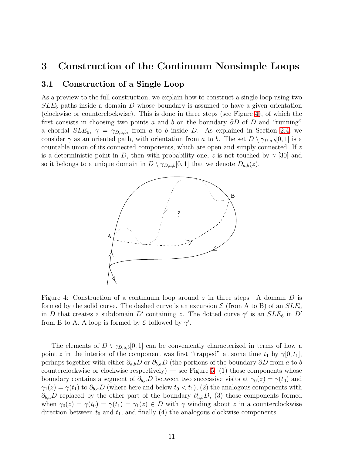# <span id="page-10-2"></span><span id="page-10-0"></span>3 Construction of the Continuum Nonsimple Loops

## 3.1 Construction of a Single Loop

As a preview to the full construction, we explain how to construct a single loop using two  $SLE_6$  paths inside a domain D whose boundary is assumed to have a given orientation (clockwise or counterclockwise). This is done in three steps (see Figure [4\)](#page-10-1), of which the first consists in choosing two points a and b on the boundary  $\partial D$  of D and "running" a chordal  $SLE_6$ ,  $\gamma = \gamma_{D,a,b}$ , from a to b inside D. As explained in Section [2.4,](#page-9-1) we consider  $\gamma$  as an oriented path, with orientation from a to b. The set  $D \setminus \gamma_{D,a,b}[0,1]$  is a countable union of its connected components, which are open and simply connected. If z is a deterministic point in D, then with probability one, z is not touched by  $\gamma$  [30] and so it belongs to a unique domain in  $D \setminus \gamma_{D,a,b}[0,1]$  that we denote  $D_{a,b}(z)$ .



<span id="page-10-1"></span>Figure 4: Construction of a continuum loop around  $z$  in three steps. A domain  $D$  is formed by the solid curve. The dashed curve is an excursion  $\mathcal E$  (from A to B) of an  $SLE_6$ in D that creates a subdomain D' containing z. The dotted curve  $\gamma'$  is an  $SLE_6$  in D' from B to A. A loop is formed by  $\mathcal E$  followed by  $\gamma'$ .

The elements of  $D \setminus \gamma_{D,a,b}[0,1]$  can be conveniently characterized in terms of how a point z in the interior of the component was first "trapped" at some time  $t_1$  by  $\gamma[0, t_1]$ , perhaps together with either  $\partial_{a,b}D$  or  $\partial_{b,a}D$  (the portions of the boundary  $\partial D$  from a to b counterclockwise or clockwise respectively) — see Figure [5:](#page-11-1)  $(1)$  those components whose boundary contains a segment of  $\partial_{b,a}D$  between two successive visits at  $\gamma_0(z) = \gamma(t_0)$  and  $\gamma_1(z) = \gamma(t_1)$  to  $\partial_{b,a}D$  (where here and below  $t_0 < t_1$ ), (2) the analogous components with  $\partial_{b,a}D$  replaced by the other part of the boundary  $\partial_{a,b}D$ , (3) those components formed when  $\gamma_0(z) = \gamma(t_0) = \gamma(t_1) = \gamma_1(z) \in D$  with  $\gamma$  winding about z in a counterclockwise direction between  $t_0$  and  $t_1$ , and finally (4) the analogous clockwise components.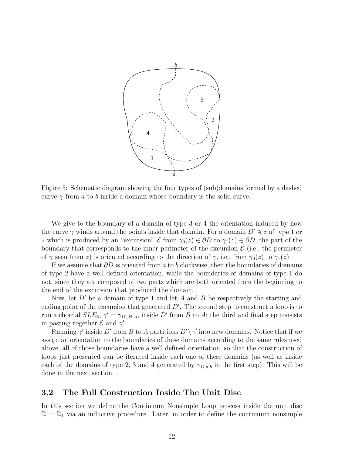

<span id="page-11-1"></span>Figure 5: Schematic diagram showing the four types of (sub)domains formed by a dashed curve  $\gamma$  from a to b inside a domain whose boundary is the solid curve.

We give to the boundary of a domain of type 3 or 4 the orientation induced by how the curve  $\gamma$  winds around the points inside that domain. For a domain  $D' \ni z$  of type 1 or 2 which is produced by an "excursion"  $\mathcal E$  from  $\gamma_0(z) \in \partial D$  to  $\gamma_1(z) \in \partial D$ , the part of the boundary that corresponds to the inner perimeter of the excursion  $\mathcal{E}$  (i.e., the perimeter of  $\gamma$  seen from z) is oriented according to the direction of  $\gamma$ , i.e., from  $\gamma_0(z)$  to  $\gamma_1(z)$ .

If we assume that  $\partial D$  is oriented from a to b clockwise, then the boundaries of domains of type 2 have a well defined orientation, while the boundaries of domains of type 1 do not, since they are composed of two parts which are both oriented from the beginning to the end of the excursion that produced the domain.

Now, let  $D'$  be a domain of type 1 and let A and B be respectively the starting and ending point of the excursion that generated  $D'$ . The second step to construct a loop is to run a chordal  $SLE_6$ ,  $\gamma' = \gamma_{D',B,A}$ , inside  $D'$  from B to A; the third and final step consists in pasting together  $\mathcal{E}$  and  $\gamma'$ .

Running  $\gamma'$  inside  $D'$  from B to A partitions  $D' \setminus \gamma'$  into new domains. Notice that if we assign an orientation to the boundaries of these domains according to the same rules used above, all of those boundaries have a well defined orientation, so that the construction of loops just presented can be iterated inside each one of these domains (as well as inside each of the domains of type 2, 3 and 4 generated by  $\gamma_{D,a,b}$  in the first step). This will be done in the next section.

## <span id="page-11-0"></span>3.2 The Full Construction Inside The Unit Disc

In this section we define the Continuum Nonsimple Loop process inside the unit disc  $\mathbb{D} = \mathbb{D}_1$  via an inductive procedure. Later, in order to define the continuum nonsimple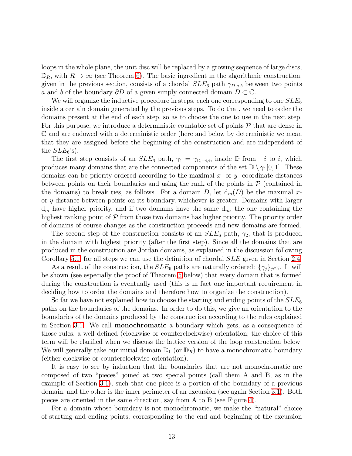loops in the whole plane, the unit disc will be replaced by a growing sequence of large discs,  $\mathbb{D}_R$ , with  $R \to \infty$  (see Theorem [6\)](#page-22-0). The basic ingredient in the algorithmic construction, given in the previous section, consists of a chordal  $SLE_6$  path  $\gamma_{D,a,b}$  between two points a and b of the boundary  $\partial D$  of a given simply connected domain  $D \subset \mathbb{C}$ .

We will organize the inductive procedure in steps, each one corresponding to one  $SLE_6$ inside a certain domain generated by the previous steps. To do that, we need to order the domains present at the end of each step, so as to choose the one to use in the next step. For this purpose, we introduce a deterministic countable set of points  $\mathcal P$  that are dense in C and are endowed with a deterministic order (here and below by deterministic we mean that they are assigned before the beginning of the construction and are independent of the  $SLE_6$ 's).

The first step consists of an  $SLE_6$  path,  $\gamma_1 = \gamma_{\mathbb{D},-i,i}$ , inside  $\mathbb{D}$  from  $-i$  to i, which produces many domains that are the connected components of the set  $\mathbb{D} \setminus \gamma_1[0,1]$ . These domains can be priority-ordered according to the maximal  $x$ - or  $y$ - coordinate distances between points on their boundaries and using the rank of the points in  $P$  (contained in the domains) to break ties, as follows. For a domain D, let  $d_m(D)$  be the maximal xor y-distance between points on its boundary, whichever is greater. Domains with larger  $d_m$  have higher priority, and if two domains have the same  $d_m$ , the one containing the highest ranking point of  $P$  from those two domains has higher priority. The priority order of domains of course changes as the construction proceeds and new domains are formed.

The second step of the construction consists of an  $SLE_6$  path,  $\gamma_2$ , that is produced in the domain with highest priority (after the first step). Since all the domains that are produced in the construction are Jordan domains, as explained in the discussion following Corollary [5.1,](#page-21-1) for all steps we can use the definition of chordal SLE given in Section [2.4.](#page-9-1)

As a result of the construction, the  $SLE_6$  paths are naturally ordered:  $\{\gamma_j\}_{j\in\mathbb{N}}$ . It will be shown (see especially the proof of Theorem [5](#page-22-1) below) that every domain that is formed during the construction is eventually used (this is in fact one important requirement in deciding how to order the domains and therefore how to organize the construction).

So far we have not explained how to choose the starting and ending points of the  $SLE_6$ paths on the boundaries of the domains. In order to do this, we give an orientation to the boundaries of the domains produced by the construction according to the rules explained in Section [3.1.](#page-10-2) We call monochromatic a boundary which gets, as a consequence of those rules, a well defined (clockwise or counterclockwise) orientation; the choice of this term will be clarified when we discuss the lattice version of the loop construction below. We will generally take our initial domain  $\mathbb{D}_1$  (or  $\mathbb{D}_R$ ) to have a monochromatic boundary (either clockwise or counterclockwise orientation).

It is easy to see by induction that the boundaries that are not monochromatic are composed of two "pieces" joined at two special points (call them A and B, as in the example of Section [3.1\)](#page-10-2), such that one piece is a portion of the boundary of a previous domain, and the other is the inner perimeter of an excursion (see again Section [3.1\)](#page-10-2). Both pieces are oriented in the same direction, say from A to B (see Figure [4\)](#page-10-1).

For a domain whose boundary is not monochromatic, we make the "natural" choice of starting and ending points, corresponding to the end and beginning of the excursion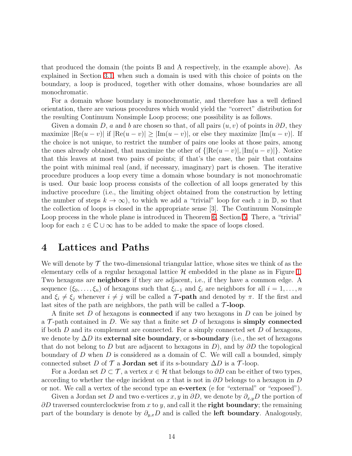that produced the domain (the points B and A respectively, in the example above). As explained in Section [3.1,](#page-10-2) when such a domain is used with this choice of points on the boundary, a loop is produced, together with other domains, whose boundaries are all monochromatic.

For a domain whose boundary is monochromatic, and therefore has a well defined orientation, there are various procedures which would yield the "correct" distribution for the resulting Continuum Nonsimple Loop process; one possibility is as follows.

Given a domain D, a and b are chosen so that, of all pairs  $(u, v)$  of points in  $\partial D$ , they maximize  $|\text{Re}(u - v)|$  if  $|\text{Re}(u - v)| \geq |\text{Im}(u - v)|$ , or else they maximize  $|\text{Im}(u - v)|$ . If the choice is not unique, to restrict the number of pairs one looks at those pairs, among the ones already obtained, that maximize the other of  $\{|\text{Re}(u - v)|, |\text{Im}(u - v)|\}$ . Notice that this leaves at most two pairs of points; if that's the case, the pair that contains the point with minimal real (and, if necessary, imaginary) part is chosen. The iterative procedure produces a loop every time a domain whose boundary is not monochromatic is used. Our basic loop process consists of the collection of all loops generated by this inductive procedure (i.e., the limiting object obtained from the construction by letting the number of steps  $k \to \infty$ , to which we add a "trivial" loop for each z in D, so that the collection of loops is closed in the appropriate sense [3]. The Continuum Nonsimple Loop process in the whole plane is introduced in Theorem [6,](#page-22-0) Section [5.](#page-20-0) There, a "trivial" loop for each  $z \in \mathbb{C} \cup \infty$  has to be added to make the space of loops closed.

# <span id="page-13-0"></span>4 Lattices and Paths

We will denote by  $\mathcal T$  the two-dimensional triangular lattice, whose sites we think of as the elementary cells of a regular hexagonal lattice  $\mathcal H$  embedded in the plane as in Figure [1.](#page-4-1) Two hexagons are neighbors if they are adjacent, i.e., if they have a common edge. A sequence  $(\xi_0, \ldots, \xi_n)$  of hexagons such that  $\xi_{i-1}$  and  $\xi_i$  are neighbors for all  $i = 1, \ldots, n$ and  $\xi_i \neq \xi_j$  whenever  $i \neq j$  will be called a T-**path** and denoted by  $\pi$ . If the first and last sites of the path are neighbors, the path will be called a  $\mathcal{T}\text{-loop}$ .

A finite set D of hexagons is **connected** if any two hexagons in D can be joined by a  $\tau$ -path contained in D. We say that a finite set D of hexagons is **simply connected** if both  $D$  and its complement are connected. For a simply connected set  $D$  of hexagons, we denote by  $\Delta D$  its external site boundary, or s-boundary (i.e., the set of hexagons that do not belong to D but are adjacent to hexagons in D), and by  $\partial D$  the topological boundary of D when D is considered as a domain of  $\mathbb{C}$ . We will call a bounded, simply connected subset D of  $\mathcal T$  a **Jordan set** if its s-boundary  $\Delta D$  is a  $\mathcal T$ -loop.

For a Jordan set  $D \subset \mathcal{T}$ , a vertex  $x \in \mathcal{H}$  that belongs to  $\partial D$  can be either of two types, according to whether the edge incident on x that is not in  $\partial D$  belongs to a hexagon in D or not. We call a vertex of the second type an e-vertex (e for "external" or "exposed").

Given a Jordan set D and two e-vertices x, y in  $\partial D$ , we denote by  $\partial_{x,y}D$  the portion of  $\partial D$  traversed counterclockwise from x to y, and call it the **right boundary**; the remaining part of the boundary is denote by  $\partial_{y,x}D$  and is called the **left boundary**. Analogously,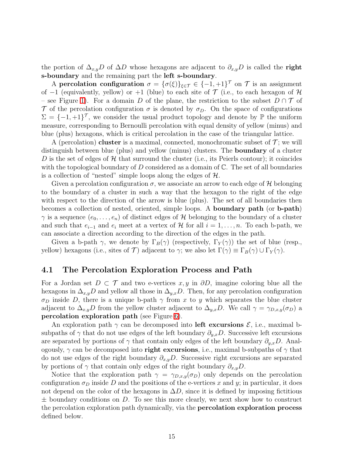the portion of  $\Delta_{x,y}D$  of  $\Delta D$  whose hexagons are adjacent to  $\partial_{x,y}D$  is called the **right** s-boundary and the remaining part the left s-boundary.

A percolation configuration  $\sigma = {\{\sigma(\xi)\}}_{\xi \in \mathcal{T}} \in {\{-1,+1\}}^{\mathcal{T}}$  on  $\mathcal{T}$  is an assignment of  $-1$  (equivalently, yellow) or  $+1$  (blue) to each site of  $\mathcal T$  (i.e., to each hexagon of  $\mathcal H$ – see Figure [1\)](#page-4-1). For a domain D of the plane, the restriction to the subset  $D \cap \mathcal{T}$  of  $\mathcal T$  of the percolation configuration  $\sigma$  is denoted by  $\sigma_D$ . On the space of configurations  $\Sigma = \{-1, +1\}^{\mathcal{T}}$ , we consider the usual product topology and denote by  $\mathbb{P}$  the uniform measure, corresponding to Bernoulli percolation with equal density of yellow (minus) and blue (plus) hexagons, which is critical percolation in the case of the triangular lattice.

A (percolation) **cluster** is a maximal, connected, monochromatic subset of  $\mathcal{T}$ ; we will distinguish between blue (plus) and yellow (minus) clusters. The boundary of a cluster D is the set of edges of  $\mathcal H$  that surround the cluster (i.e., its Peierls contour); it coincides with the topological boundary of  $D$  considered as a domain of  $\mathbb{C}$ . The set of all boundaries is a collection of "nested" simple loops along the edges of  $H$ .

Given a percolation configuration  $\sigma$ , we associate an arrow to each edge of H belonging to the boundary of a cluster in such a way that the hexagon to the right of the edge with respect to the direction of the arrow is blue (plus). The set of all boundaries then becomes a collection of nested, oriented, simple loops. A boundary path (or b-path)  $\gamma$  is a sequence  $(e_0, \ldots, e_n)$  of distinct edges of H belonging to the boundary of a cluster and such that  $e_{i-1}$  and  $e_i$  meet at a vertex of H for all  $i = 1, \ldots, n$ . To each b-path, we can associate a direction according to the direction of the edges in the path.

Given a b-path  $\gamma$ , we denote by  $\Gamma_B(\gamma)$  (respectively,  $\Gamma_Y(\gamma)$ ) the set of blue (resp., yellow) hexagons (i.e., sites of T) adjacent to  $\gamma$ ; we also let  $\Gamma(\gamma) \equiv \Gamma_B(\gamma) \cup \Gamma_Y(\gamma)$ .

#### <span id="page-14-0"></span>4.1 The Percolation Exploration Process and Path

For a Jordan set  $D \subset \mathcal{T}$  and two e-vertices  $x, y$  in  $\partial D$ , imagine coloring blue all the hexagons in  $\Delta_{x,y}D$  and yellow all those in  $\Delta_{y,x}D$ . Then, for any percolation configuration  $\sigma_D$  inside D, there is a unique b-path  $\gamma$  from x to y which separates the blue cluster adjacent to  $\Delta_{x,y}D$  from the yellow cluster adjacent to  $\Delta_{y,x}D$ . We call  $\gamma = \gamma_{D,x,y}(\sigma_D)$  a percolation exploration path (see Figure [6\)](#page-16-0).

An exploration path  $\gamma$  can be decomposed into left excursions  $\mathcal{E}$ , i.e., maximal bsubpaths of  $\gamma$  that do not use edges of the left boundary  $\partial_{y,x}D$ . Successive left excursions are separated by portions of  $\gamma$  that contain only edges of the left boundary  $\partial_{y,x}D$ . Analogously,  $\gamma$  can be decomposed into **right excursions**, i.e., maximal b-subpaths of  $\gamma$  that do not use edges of the right boundary  $\partial_{x,y}D$ . Successive right excursions are separated by portions of  $\gamma$  that contain only edges of the right boundary  $\partial_{x,y}D$ .

Notice that the exploration path  $\gamma = \gamma_{D,x,y}(\sigma_D)$  only depends on the percolation configuration  $\sigma_D$  inside D and the positions of the e-vertices x and y; in particular, it does not depend on the color of the hexagons in  $\Delta D$ , since it is defined by imposing fictitious  $\pm$  boundary conditions on D. To see this more clearly, we next show how to construct the percolation exploration path dynamically, via the percolation exploration process defined below.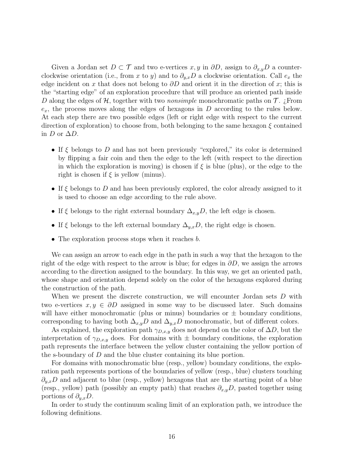Given a Jordan set  $D \subset \mathcal{T}$  and two e-vertices  $x, y$  in  $\partial D$ , assign to  $\partial_{x,y}D$  a counterclockwise orientation (i.e., from x to y) and to  $\partial_{y,x}D$  a clockwise orientation. Call  $e_x$  the edge incident on x that does not belong to  $\partial D$  and orient it in the direction of x; this is the "starting edge" of an exploration procedure that will produce an oriented path inside D along the edges of H, together with two *nonsimple* monochromatic paths on  $\mathcal{T}$ . *i*. From  $e_x$ , the process moves along the edges of hexagons in D according to the rules below. At each step there are two possible edges (left or right edge with respect to the current direction of exploration) to choose from, both belonging to the same hexagon  $\xi$  contained in  $D$  or  $\Delta D$ .

- If  $\xi$  belongs to D and has not been previously "explored," its color is determined by flipping a fair coin and then the edge to the left (with respect to the direction in which the exploration is moving) is chosen if  $\xi$  is blue (plus), or the edge to the right is chosen if  $\xi$  is yellow (minus).
- If  $\xi$  belongs to D and has been previously explored, the color already assigned to it is used to choose an edge according to the rule above.
- If  $\xi$  belongs to the right external boundary  $\Delta_{x,y}D$ , the left edge is chosen.
- If  $\xi$  belongs to the left external boundary  $\Delta_{u,x}D$ , the right edge is chosen.
- The exploration process stops when it reaches b.

We can assign an arrow to each edge in the path in such a way that the hexagon to the right of the edge with respect to the arrow is blue; for edges in  $\partial D$ , we assign the arrows according to the direction assigned to the boundary. In this way, we get an oriented path, whose shape and orientation depend solely on the color of the hexagons explored during the construction of the path.

When we present the discrete construction, we will encounter Jordan sets D with two e-vertices  $x, y \in \partial D$  assigned in some way to be discussed later. Such domains will have either monochromatic (plus or minus) boundaries or  $\pm$  boundary conditions, corresponding to having both  $\Delta_{x,y}D$  and  $\Delta_{y,x}D$  monochromatic, but of different colors.

As explained, the exploration path  $\gamma_{D,x,y}$  does not depend on the color of  $\Delta D$ , but the interpretation of  $\gamma_{D,x,y}$  does. For domains with  $\pm$  boundary conditions, the exploration path represents the interface between the yellow cluster containing the yellow portion of the s-boundary of D and the blue cluster containing its blue portion.

For domains with monochromatic blue (resp., yellow) boundary conditions, the exploration path represents portions of the boundaries of yellow (resp., blue) clusters touching  $\partial_{y,x}D$  and adjacent to blue (resp., yellow) hexagons that are the starting point of a blue (resp., yellow) path (possibly an empty path) that reaches  $\partial_{x,y}D$ , pasted together using portions of  $\partial_{u,x}D$ .

In order to study the continuum scaling limit of an exploration path, we introduce the following definitions.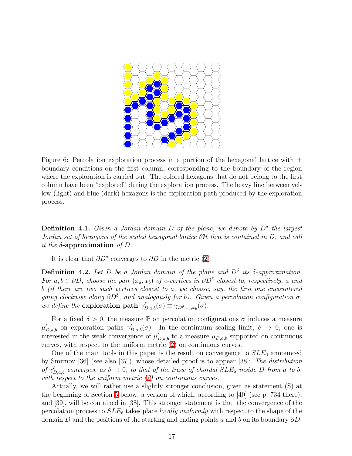

<span id="page-16-0"></span>Figure 6: Percolation exploration process in a portion of the hexagonal lattice with  $\pm$ boundary conditions on the first column, corresponding to the boundary of the region where the exploration is carried out. The colored hexagons that do not belong to the first column have been "explored" during the exploration process. The heavy line between yellow (light) and blue (dark) hexagons is the exploration path produced by the exploration process.

**Definition 4.1.** Given a Jordan domain D of the plane, we denote by  $D^{\delta}$  the largest Jordan set of hexagons of the scaled hexagonal lattice  $\delta \mathcal{H}$  that is contained in D, and call it the  $\delta$ -approximation of D.

It is clear that  $\partial D^{\delta}$  converges to  $\partial D$  in the metric [\(2\)](#page-7-0).

**Definition 4.2.** Let D be a Jordan domain of the plane and  $D^{\delta}$  its  $\delta$ -approximation. For  $a, b \in \partial D$ , choose the pair  $(x_a, x_b)$  of e-vertices in  $\partial D^{\delta}$  closest to, respectively, a and b (if there are two such vertices closest to a, we choose, say, the first one encountered going clockwise along  $\partial D^{\delta}$ , and analogously for b). Given a percolation configuration  $\sigma$ , we define the **exploration path**  $\gamma_{D,a,b}^{\delta}(\sigma) \equiv \gamma_{D^{\delta},x_a,x_b}(\sigma)$ .

For a fixed  $\delta > 0$ , the measure P on percolation configurations  $\sigma$  induces a measure  $\mu_{D,a,b}^{\delta}$  on exploration paths  $\gamma_{D,a,b}^{\delta}(\sigma)$ . In the continuum scaling limit,  $\delta \to 0$ , one is interested in the weak convergence of  $\mu_{D,a,b}^{\delta}$  to a measure  $\mu_{D,a,b}$  supported on continuous curves, with respect to the uniform metric [\(2\)](#page-7-0) on continuous curves.

One of the main tools in this paper is the result on convergence to  $SLE_6$  announced by Smirnov [36] (see also [37]), whose detailed proof is to appear [38]: The distribution of  $\gamma_{D,a,b}^{\delta}$  converges, as  $\delta \to 0$ , to that of the trace of chordal SLE<sub>6</sub> inside D from a to b, with respect to the uniform metric  $(2)$  on continuous curves.

Actually, we will rather use a slightly stronger conclusion, given as statement (S) at the beginning of Section [5](#page-20-0) below, a version of which, according to [40] (see p. 734 there), and [39], will be contained in [38]. This stronger statement is that the convergence of the percolation process to  $SLE_6$  takes place *locally uniformly* with respect to the shape of the domain D and the positions of the starting and ending points a and b on its boundary  $\partial D$ .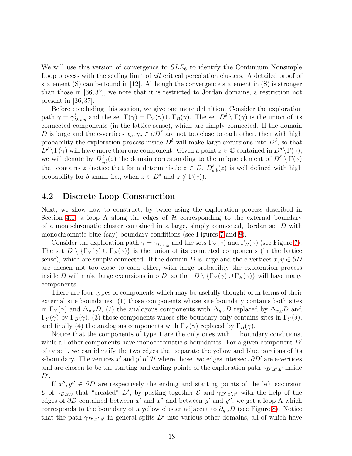We will use this version of convergence to  $SLE_6$  to identify the Continuum Nonsimple Loop process with the scaling limit of *all* critical percolation clusters. A detailed proof of statement (S) can be found in [12]. Although the convergence statement in (S) is stronger than those in [36, 37], we note that it is restricted to Jordan domains, a restriction not present in [36, 37].

Before concluding this section, we give one more definition. Consider the exploration path  $\gamma = \gamma_{D,x,y}^{\delta}$  and the set  $\Gamma(\gamma) = \Gamma_Y(\gamma) \cup \Gamma_B(\gamma)$ . The set  $D^{\delta} \setminus \Gamma(\gamma)$  is the union of its connected components (in the lattice sense), which are simply connected. If the domain D is large and the e-vertices  $x_a, y_a \in \partial D^{\delta}$  are not too close to each other, then with high probability the exploration process inside  $D^{\delta}$  will make large excursions into  $D^{\delta}$ , so that  $D^{\delta} \backslash \Gamma(\gamma)$  will have more than one component. Given a point  $z \in \mathbb{C}$  contained in  $D^{\delta} \backslash \Gamma(\gamma)$ , we will denote by  $D_{a,b}^{\delta}(z)$  the domain corresponding to the unique element of  $D^{\delta} \setminus \Gamma(\gamma)$ that contains z (notice that for a deterministic  $z \in D$ ,  $D^{\delta}_{a,b}(z)$  is well defined with high probability for  $\delta$  small, i.e., when  $z \in D^{\delta}$  and  $z \notin \Gamma(\gamma)$ .

### 4.2 Discrete Loop Construction

Next, we show how to construct, by twice using the exploration process described in Section [4.1,](#page-14-0) a loop  $\Lambda$  along the edges of  $\mathcal H$  corresponding to the external boundary of a monochromatic cluster contained in a large, simply connected, Jordan set D with monochromatic blue (say) boundary conditions (see Figures [7](#page-18-0) and [8\)](#page-19-0).

Consider the exploration path  $\gamma = \gamma_{D,x,y}$  and the sets  $\Gamma_Y(\gamma)$  and  $\Gamma_B(\gamma)$  (see Figure [7\)](#page-18-0). The set  $D \setminus {\{\Gamma_Y(\gamma) \cup \Gamma_B(\gamma)\}}$  is the union of its connected components (in the lattice sense), which are simply connected. If the domain D is large and the e-vertices  $x, y \in \partial D$ are chosen not too close to each other, with large probability the exploration process inside D will make large excursions into D, so that  $D \setminus {\{\Gamma_Y(\gamma) \cup \Gamma_B(\gamma)\}}$  will have many components.

There are four types of components which may be usefully thought of in terms of their external site boundaries: (1) those components whose site boundary contains both sites in  $\Gamma_Y(\gamma)$  and  $\Delta_{y,x}D$ , (2) the analogous components with  $\Delta_{y,x}D$  replaced by  $\Delta_{x,y}D$  and  $\Gamma_Y(\gamma)$  by  $\Gamma_B(\gamma)$ , (3) those components whose site boundary only contains sites in  $\Gamma_Y(\delta)$ , and finally (4) the analogous components with  $\Gamma_Y(\gamma)$  replaced by  $\Gamma_B(\gamma)$ .

Notice that the components of type 1 are the only ones with  $\pm$  boundary conditions, while all other components have monochromatic s-boundaries. For a given component  $D'$ of type 1, we can identify the two edges that separate the yellow and blue portions of its s-boundary. The vertices  $x'$  and  $y'$  of  $\mathcal{H}$  where those two edges intersect  $\partial D'$  are e-vertices and are chosen to be the starting and ending points of the exploration path  $\gamma_{D',x',y'}$  inside  $D^{\prime}$ .

If  $x'', y'' \in \partial D$  are respectively the ending and starting points of the left excursion  $\mathcal E$  of  $\gamma_{D,x,y}$  that "created" D', by pasting together  $\mathcal E$  and  $\gamma_{D',x',y'}$  with the help of the edges of  $\partial D$  contained between x' and x" and between y' and y", we get a loop  $\Lambda$  which corresponds to the boundary of a yellow cluster adjacent to  $\partial_{y,x}D$  (see Figure [8\)](#page-19-0). Notice that the path  $\gamma_{D',x',y'}$  in general splits D' into various other domains, all of which have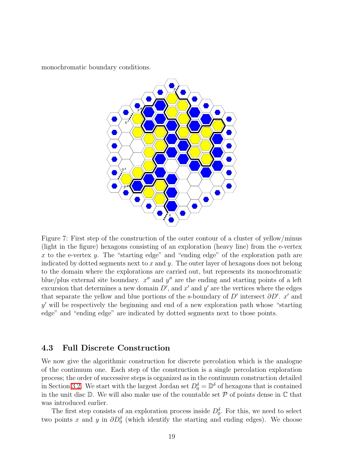monochromatic boundary conditions.



<span id="page-18-0"></span>Figure 7: First step of the construction of the outer contour of a cluster of yellow/minus (light in the figure) hexagons consisting of an exploration (heavy line) from the e-vertex x to the e-vertex y. The "starting edge" and "ending edge" of the exploration path are indicated by dotted segments next to  $x$  and  $y$ . The outer layer of hexagons does not belong to the domain where the explorations are carried out, but represents its monochromatic blue/plus external site boundary.  $x''$  and  $y''$  are the ending and starting points of a left excursion that determines a new domain  $D'$ , and  $x'$  and  $y'$  are the vertices where the edges that separate the yellow and blue portions of the s-boundary of D' intersect  $\partial D'$ . x' and  $y'$  will be respectively the beginning and end of a new exploration path whose "starting" edge" and "ending edge" are indicated by dotted segments next to those points.

#### <span id="page-18-1"></span>4.3 Full Discrete Construction

We now give the algorithmic construction for discrete percolation which is the analogue of the continuum one. Each step of the construction is a single percolation exploration process; the order of successive steps is organized as in the continuum construction detailed in Section [3.2.](#page-11-0) We start with the largest Jordan set  $D_0^{\delta} = \mathbb{D}^{\delta}$  of hexagons that is contained in the unit disc  $\mathbb D$ . We will also make use of the countable set  $\mathcal P$  of points dense in  $\mathbb C$  that was introduced earlier.

The first step consists of an exploration process inside  $D_0^{\delta}$ . For this, we need to select two points x and y in  $\partial D_0^{\delta}$  (which identify the starting and ending edges). We choose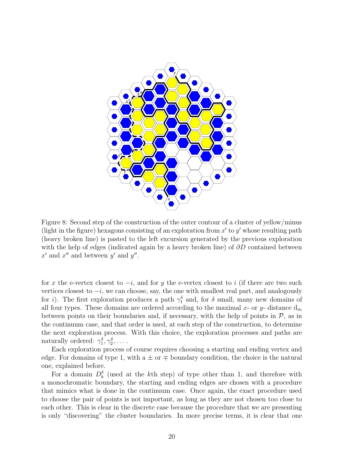

<span id="page-19-0"></span>Figure 8: Second step of the construction of the outer contour of a cluster of yellow/minus (light in the figure) hexagons consisting of an exploration from  $x'$  to  $y'$  whose resulting path (heavy broken line) is pasted to the left excursion generated by the previous exploration with the help of edges (indicated again by a heavy broken line) of  $\partial D$  contained between  $x'$  and  $x''$  and between  $y'$  and  $y''$ .

for x the e-vertex closest to  $-i$ , and for y the e-vertex closest to i (if there are two such vertices closest to  $-i$ , we can choose, say, the one with smallest real part, and analogously for *i*). The first exploration produces a path  $\gamma_1^{\delta}$  and, for  $\delta$  small, many new domains of all four types. These domains are ordered according to the maximal x- or y- distance  $d_m$ between points on their boundaries and, if necessary, with the help of points in  $P$ , as in the continuum case, and that order is used, at each step of the construction, to determine the next exploration process. With this choice, the exploration processes and paths are naturally ordered:  $\gamma_1^{\delta}, \gamma_2^{\delta}, \ldots$ .

Each exploration process of course requires choosing a starting and ending vertex and edge. For domains of type 1, with a  $\pm$  or  $\mp$  boundary condition, the choice is the natural one, explained before.

For a domain  $D_k^{\delta}$  (used at the k<sup>th</sup> step) of type other than 1, and therefore with a monochromatic boundary, the starting and ending edges are chosen with a procedure that mimics what is done in the continuum case. Once again, the exact procedure used to choose the pair of points is not important, as long as they are not chosen too close to each other. This is clear in the discrete case because the procedure that we are presenting is only "discovering" the cluster boundaries. In more precise terms, it is clear that one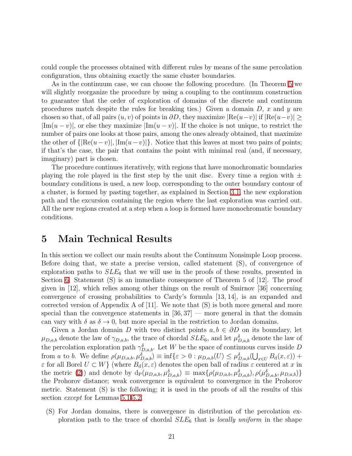could couple the processes obtained with different rules by means of the same percolation configuration, thus obtaining exactly the same cluster boundaries.

As in the continuum case, we can choose the following procedure. (In Theorem [5](#page-22-1) we will slightly reorganize the procedure by using a coupling to the continuum construction to guarantee that the order of exploration of domains of the discrete and continuum procedures match despite the rules for breaking ties.) Given a domain  $D, x$  and y are chosen so that, of all pairs  $(u, v)$  of points in  $\partial D$ , they maximize  $|Re(u-v)|$  if  $|Re(u-v)| >$  $|\text{Im}(u - v)|$ , or else they maximize  $|\text{Im}(u - v)|$ . If the choice is not unique, to restrict the number of pairs one looks at those pairs, among the ones already obtained, that maximize the other of  $\{|\text{Re}(u-v)|, |\text{Im}(u-v)|\}$ . Notice that this leaves at most two pairs of points; if that's the case, the pair that contains the point with minimal real (and, if necessary, imaginary) part is chosen.

The procedure continues iteratively, with regions that have monochromatic boundaries playing the role played in the first step by the unit disc. Every time a region with  $\pm$ boundary conditions is used, a new loop, corresponding to the outer boundary contour of a cluster, is formed by pasting together, as explained in Section [3.1,](#page-10-2) the new exploration path and the excursion containing the region where the last exploration was carried out. All the new regions created at a step when a loop is formed have monochromatic boundary conditions.

# <span id="page-20-0"></span>5 Main Technical Results

In this section we collect our main results about the Continuum Nonsimple Loop process. Before doing that, we state a precise version, called statement (S), of convergence of exploration paths to  $SLE_6$  that we will use in the proofs of these results, presented in Section [6.](#page-24-0) Statement (S) is an immediate consequence of Theorem 5 of [12]. The proof given in [12], which relies among other things on the result of Smirnov [36] concerning convergence of crossing probabilities to Cardy's formula [13, 14], is an expanded and corrected version of Appendix A of  $[11]$ . We note that  $(S)$  is both more general and more special than the convergence statements in  $[36, 37]$  — more general in that the domain can vary with  $\delta$  as  $\delta \to 0$ , but more special in the restriction to Jordan domains.

Given a Jordan domain D with two distinct points  $a, b \in \partial D$  on its boundary, let  $\mu_{D,a,b}$  denote the law of  $\gamma_{D,a,b}$ , the trace of chordal  $SLE_6$ , and let  $\mu_{D,a,b}^{\delta}$  denote the law of the percolation exploration path  $\gamma_{D,a,b}^{\delta}$ . Let W be the space of continuous curves inside D from a to b. We define  $\rho(\mu_{D,a,b}, \mu_{D,a,b}^{\delta}) \equiv \inf \{ \varepsilon > 0 : \mu_{D,a,b}(U) \leq \mu_{D,a,b}^{\delta}(\bigcup_{x \in U} B_d(x, \varepsilon)) +$  $\varepsilon$  for all Borel  $U \subset W$ } (where  $B_d(x, \varepsilon)$  denotes the open ball of radius  $\varepsilon$  centered at x in the metric [\(2\)](#page-7-0)) and denote by  $d_P(\mu_{D,a,b}, \mu_{D,a,b}^{\delta}) \equiv \max{\{\rho(\mu_{D,a,b}, \mu_{D,a,b}^{\delta}), \rho(\mu_{D,a,b}^{\delta}, \mu_{D,a,b})\}}$ the Prohorov distance; weak convergence is equivalent to convergence in the Prohorov metric. Statement (S) is the following; it is used in the proofs of all the results of this section *except* for Lemmas  $5.1-5.2$ .

(S) For Jordan domains, there is convergence in distribution of the percolation exploration path to the trace of chordal  $SLE_6$  that is *locally uniform* in the shape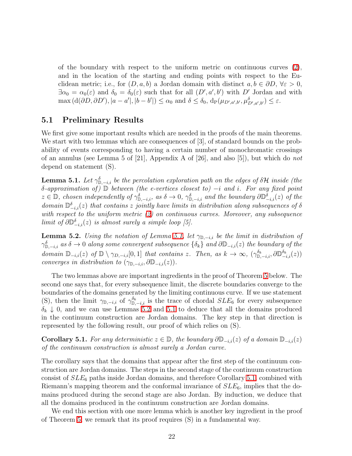of the boundary with respect to the uniform metric on continuous curves [\(2\)](#page-7-0), and in the location of the starting and ending points with respect to the Euclidean metric; i.e., for  $(D, a, b)$  a Jordan domain with distinct  $a, b \in \partial D$ ,  $\forall \varepsilon > 0$ ,  $\exists \alpha_0 = \alpha_0(\varepsilon)$  and  $\delta_0 = \delta_0(\varepsilon)$  such that for all  $(D', a', b')$  with  $D'$  Jordan and with  $\max (\mathrm{d}(\partial D, \partial D'), |a - a'|, |b - b'|) \leq \alpha_0 \text{ and } \delta \leq \delta_0, \mathrm{d}_{\mathrm{P}}(\mu_{D',a',b'}, \mu_{D',a',b'}^{\delta}) \leq \varepsilon.$ 

## 5.1 Preliminary Results

We first give some important results which are needed in the proofs of the main theorems. We start with two lemmas which are consequences of [3], of standard bounds on the probability of events corresponding to having a certain number of monochromatic crossings of an annulus (see Lemma 5 of [21], Appendix A of [26], and also [5]), but which do not depend on statement (S).

<span id="page-21-2"></span>**Lemma 5.1.** Let  $\gamma_{\mathbb{D},-i,i}^{\delta}$  be the percolation exploration path on the edges of  $\delta \mathcal{H}$  inside (the  $\delta$ -approximation of) D between (the e-vertices closest to)  $-i$  and i. For any fixed point  $z \in \mathbb{D}$ , chosen independently of  $\gamma_{\mathbb{D},-i,i}^{\delta}$  as  $\delta \to 0$ ,  $\gamma_{\mathbb{D},-i,i}^{\delta}$  and the boundary  $\partial \mathbb{D}_{-i,i}^{\delta}(z)$  of the domain  $\mathbb{D}^{\delta}_{-i,i}(z)$  that contains z jointly have limits in distribution along subsequences of  $\delta$ with respect to the uniform metric  $(2)$  on continuous curves. Moreover, any subsequence limit of  $\partial \mathbb{D}^{\delta}_{-i,i}(z)$  is almost surely a simple loop [5].

<span id="page-21-3"></span>**Lemma 5.2.** Using the notation of Lemma [5.1,](#page-21-2) let  $\gamma_{\mathbb{D},-i,i}$  be the limit in distribution of  $\gamma_{\mathbb{D},-i,i}^{\delta}$  as  $\delta\to 0$  along some convergent subsequence  $\{\delta_k\}$  and  $\partial \mathbb{D}_{-i,i}(z)$  the boundary of the domain  $\mathbb{D}_{-i,i}(z)$  of  $\mathbb{D} \setminus \gamma_{D,-i,i}[0,1]$  that contains z. Then, as  $k \to \infty$ ,  $(\gamma_{\mathbb{D},-i,i}^{\delta_k}, \partial \mathbb{D}_{-i,i}^{\delta_k}(z))$ converges in distribution to  $(\gamma_{\mathbb{D},-i,i}, \partial \mathbb{D}_{-i,i}(z)).$ 

The two lemmas above are important ingredients in the proof of Theorem [5](#page-22-1) below. The second one says that, for every subsequence limit, the discrete boundaries converge to the boundaries of the domains generated by the limiting continuous curve. If we use statement (S), then the limit  $\gamma_{\mathbb{D},-i,i}$  of  $\gamma_{\mathbb{D},-i,i}^{\delta_k}$  is the trace of chordal  $SLE_6$  for every subsequence  $\delta_k$   $\downarrow$  0, and we can use Lemmas [5.2](#page-21-3) and [5.1](#page-21-2) to deduce that all the domains produced in the continuum construction are Jordan domains. The key step in that direction is represented by the following result, our proof of which relies on (S).

<span id="page-21-1"></span>Corollary 5.1. For any deterministic  $z \in \mathbb{D}$ , the boundary  $\partial \mathbb{D}_{-i,i}(z)$  of a domain  $\mathbb{D}_{-i,i}(z)$ of the continuum construction is almost surely a Jordan curve.

The corollary says that the domains that appear after the first step of the continuum construction are Jordan domains. The steps in the second stage of the continuum construction consist of  $SLE_6$  paths inside Jordan domains, and therefore Corollary [5.1,](#page-21-1) combined with Riemann's mapping theorem and the conformal invariance of  $SLE_6$ , implies that the domains produced during the second stage are also Jordan. By induction, we deduce that all the domains produced in the continuum construction are Jordan domains.

<span id="page-21-0"></span>We end this section with one more lemma which is another key ingredient in the proof of Theorem [5;](#page-22-1) we remark that its proof requires (S) in a fundamental way.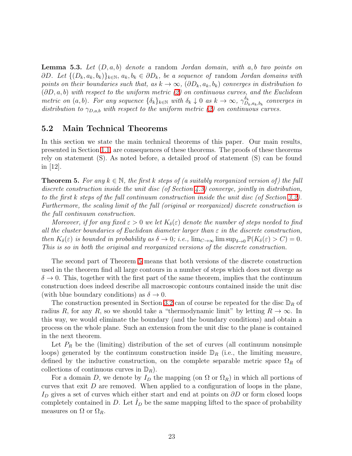**Lemma 5.3.** Let  $(D, a, b)$  denote a random Jordan domain, with a,b two points on  $\partial D$ . Let  $\{(D_k, a_k, b_k)\}_{k\in\mathbb{N}}, a_k, b_k \in \partial D_k$ , be a sequence of random Jordan domains with points on their boundaries such that, as  $k \to \infty$ ,  $(\partial D_k, a_k, b_k)$  converges in distribution to  $(∂D, a, b)$  with respect to the uniform metric  $(2)$  on continuous curves, and the Euclidean metric on  $(a, b)$ . For any sequence  $\{\delta_k\}_{k \in \mathbb{N}}$  with  $\delta_k \downarrow 0$  as  $k \to \infty$ ,  $\gamma_{D_i}^{\delta_k}$  $\overset{o_k}{\scriptstyle{D_k,\:\!a_k,\:\!b_k}}$  converges in distribution to  $\gamma_{D,a,b}$  with respect to the uniform metric [\(2\)](#page-7-0) on continuous curves.

#### 5.2 Main Technical Theorems

In this section we state the main technical theorems of this paper. Our main results, presented in Section [1.1,](#page-3-0) are consequences of these theorems. The proofs of these theorems rely on statement (S). As noted before, a detailed proof of statement (S) can be found in [12].

<span id="page-22-1"></span>**Theorem 5.** For any  $k \in \mathbb{N}$ , the first k steps of (a suitably reorganized version of) the full discrete construction inside the unit disc (of Section [4.3\)](#page-18-1) converge, jointly in distribution, to the first k steps of the full continuum construction inside the unit disc (of Section [3.2\)](#page-11-0). Furthermore, the scaling limit of the full (original or reorganized) discrete construction is the full continuum construction.

Moreover, if for any fixed  $\varepsilon > 0$  we let  $K_{\delta}(\varepsilon)$  denote the number of steps needed to find all the cluster boundaries of Euclidean diameter larger than  $\varepsilon$  in the discrete construction, then  $K_{\delta}(\varepsilon)$  is bounded in probability as  $\delta \to 0$ ; i.e.,  $\lim_{C \to \infty} \limsup_{\delta \to 0} \mathbb{P}(K_{\delta}(\varepsilon) > C) = 0$ . This is so in both the original and reorganized versions of the discrete construction.

The second part of Theorem [5](#page-22-1) means that both versions of the discrete construction used in the theorem find all large contours in a number of steps which does not diverge as  $\delta \to 0$ . This, together with the first part of the same theorem, implies that the continuum construction does indeed describe all macroscopic contours contained inside the unit disc (with blue boundary conditions) as  $\delta \to 0$ .

The construction presented in Section [3.2](#page-11-0) can of course be repeated for the disc  $\mathbb{D}_R$  of radius R, for any R, so we should take a "thermodynamic limit" by letting  $R \to \infty$ . In this way, we would eliminate the boundary (and the boundary conditions) and obtain a process on the whole plane. Such an extension from the unit disc to the plane is contained in the next theorem.

Let  $P_R$  be the (limiting) distribution of the set of curves (all continuum nonsimple loops) generated by the continuum construction inside  $\mathbb{D}_R$  (i.e., the limiting measure, defined by the inductive construction, on the complete separable metric space  $\Omega_R$  of collections of continuous curves in  $\mathbb{D}_R$ ).

<span id="page-22-0"></span>For a domain D, we denote by  $I_D$  the mapping (on  $\Omega$  or  $\Omega_R$ ) in which all portions of curves that exit  $D$  are removed. When applied to a configuration of loops in the plane, I<sub>D</sub> gives a set of curves which either start and end at points on  $\partial D$  or form closed loops completely contained in  $D$ . Let  $I_D$  be the same mapping lifted to the space of probability measures on  $\Omega$  or  $\Omega_R$ .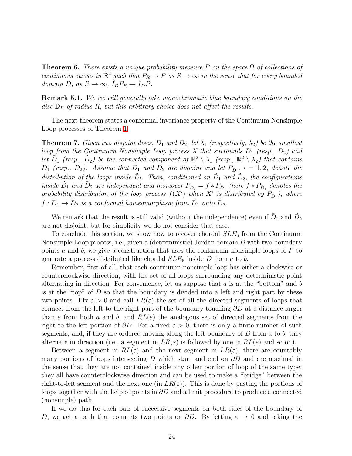**Theorem 6.** There exists a unique probability measure P on the space  $\Omega$  of collections of continuous curves in  $\mathbb{R}^2$  such that  $P_R \to P$  as  $R \to \infty$  in the sense that for every bounded domain D, as  $R \to \infty$ ,  $\hat{I}_D P_R \to \hat{I}_D P$ .

Remark 5.1. We we will generally take monochromatic blue boundary conditions on the disc  $\mathbb{D}_R$  of radius R, but this arbitrary choice does not affect the results.

<span id="page-23-0"></span>The next theorem states a conformal invariance property of the Continuum Nonsimple Loop processes of Theorem [1.](#page-3-1)

**Theorem 7.** Given two disjoint discs,  $D_1$  and  $D_2$ , let  $\lambda_1$  (respectively,  $\lambda_2$ ) be the smallest loop from the Continuum Nonsimple Loop process X that surrounds  $D_1$  (resp.,  $D_2$ ) and Let  $\tilde{D}_1$  (resp.,  $\tilde{D}_2$ ) be the connected component of  $\mathbb{R}^2 \setminus \lambda_1$  (resp.,  $\mathbb{R}^2 \setminus \lambda_2$ ) that contains  $D_1$  (resp.,  $D_2$ ). Assume that  $\tilde{D}_1$  and  $\tilde{D}_2$  are disjoint and let  $P_{\tilde{D}_i}$ ,  $i = 1, 2$ , denote the distribution of the loops inside  $\tilde{D}_i$ . Then, conditioned on  $\tilde{D}_1$  and  $\tilde{D}_2$ , the configurations inside  $\tilde{D}_1$  and  $\tilde{D}_2$  are independent and moreover  $P_{\tilde{D}_2} = f * P_{\tilde{D}_1}$  (here  $f * P_{\tilde{D}_1}$  denotes the probability distribution of the loop process  $f(X')$  when  $X'$  is distributed by  $P_{\tilde{D}_1}$ ), where  $f: \tilde{D}_1 \to \tilde{D}_2$  is a conformal homeomorphism from  $\tilde{D}_1$  onto  $\tilde{D}_2$ .

We remark that the result is still valid (without the independence) even if  $\tilde{D}_1$  and  $\tilde{D}_2$ are not disjoint, but for simplicity we do not consider that case.

To conclude this section, we show how to recover chordal  $SLE_6$  from the Continuum Nonsimple Loop process, i.e., given a (deterministic) Jordan domain D with two boundary points a and b, we give a construction that uses the continuum nonsimple loops of  $P$  to generate a process distributed like chordal  $SLE_6$  inside D from a to b.

Remember, first of all, that each continuum nonsimple loop has either a clockwise or counterclockwise direction, with the set of all loops surrounding any deterministic point alternating in direction. For convenience, let us suppose that  $a$  is at the "bottom" and  $b$ is at the "top" of  $D$  so that the boundary is divided into a left and right part by these two points. Fix  $\varepsilon > 0$  and call  $LR(\varepsilon)$  the set of all the directed segments of loops that connect from the left to the right part of the boundary touching  $\partial D$  at a distance larger than  $\varepsilon$  from both a and b, and  $RL(\varepsilon)$  the analogous set of directed segments from the right to the left portion of  $\partial D$ . For a fixed  $\varepsilon > 0$ , there is only a finite number of such segments, and, if they are ordered moving along the left boundary of  $D$  from  $a$  to  $b$ , they alternate in direction (i.e., a segment in  $LR(\varepsilon)$  is followed by one in  $RL(\varepsilon)$  and so on).

Between a segment in  $RL(\varepsilon)$  and the next segment in  $LR(\varepsilon)$ , there are countably many portions of loops intersecting D which start and end on  $\partial D$  and are maximal in the sense that they are not contained inside any other portion of loop of the same type; they all have counterclockwise direction and can be used to make a "bridge" between the right-to-left segment and the next one (in  $LR(\varepsilon)$ ). This is done by pasting the portions of loops together with the help of points in  $\partial D$  and a limit procedure to produce a connected (nonsimple) path.

If we do this for each pair of successive segments on both sides of the boundary of D, we get a path that connects two points on  $\partial D$ . By letting  $\varepsilon \to 0$  and taking the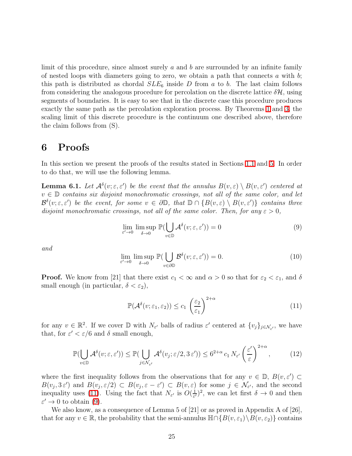limit of this procedure, since almost surely  $a$  and  $b$  are surrounded by an infinite family of nested loops with diameters going to zero, we obtain a path that connects  $a$  with  $b$ ; this path is distributed as chordal  $SLE_6$  inside D from a to b. The last claim follows from considering the analogous procedure for percolation on the discrete lattice  $\delta \mathcal{H}$ , using segments of boundaries. It is easy to see that in the discrete case this procedure produces exactly the same path as the percolation exploration process. By Theorems [1](#page-3-1) and [3,](#page-4-0) the scaling limit of this discrete procedure is the continuum one described above, therefore the claim follows from (S).

# <span id="page-24-0"></span>6 Proofs

<span id="page-24-4"></span>In this section we present the proofs of the results stated in Sections [1.1](#page-3-0) and [5.](#page-20-0) In order to do that, we will use the following lemma.

**Lemma 6.1.** Let  $\mathcal{A}^{\delta}(v; \varepsilon, \varepsilon')$  be the event that the annulus  $B(v, \varepsilon) \setminus B(v, \varepsilon')$  centered at  $v \in \mathbb{D}$  contains six disjoint monochromatic crossings, not all of the same color, and let  $\mathcal{B}^{\delta}(v;\varepsilon,\varepsilon')$  be the event, for some  $v \in \partial \mathbb{D}$ , that  $\mathbb{D} \cap \{B(v,\varepsilon) \setminus B(v,\varepsilon')\}$  contains three disjoint monochromatic crossings, not all of the same color. Then, for any  $\varepsilon > 0$ ,

<span id="page-24-2"></span>
$$
\lim_{\varepsilon' \to 0} \limsup_{\delta \to 0} \mathbb{P}(\bigcup_{v \in \mathbb{D}} \mathcal{A}^{\delta}(v; \varepsilon, \varepsilon')) = 0 \tag{9}
$$

<span id="page-24-3"></span>and

<span id="page-24-1"></span>
$$
\lim_{\varepsilon' \to 0} \limsup_{\delta \to 0} \mathbb{P}(\bigcup_{v \in \partial \mathbb{D}} \mathcal{B}^{\delta}(v; \varepsilon, \varepsilon')) = 0.
$$
 (10)

**Proof.** We know from [21] that there exist  $c_1 < \infty$  and  $\alpha > 0$  so that for  $\varepsilon_2 < \varepsilon_1$ , and  $\delta$ small enough (in particular,  $\delta < \varepsilon_2$ ),

$$
\mathbb{P}(\mathcal{A}^{\delta}(v; \varepsilon_1, \varepsilon_2)) \le c_1 \left(\frac{\varepsilon_2}{\varepsilon_1}\right)^{2+\alpha} \tag{11}
$$

for any  $v \in \mathbb{R}^2$ . If we cover  $\mathbb D$  with  $N_{\varepsilon'}$  balls of radius  $\varepsilon'$  centered at  $\{v_j\}_{j\in\mathcal N_{\varepsilon'}}$ , we have that, for  $\varepsilon' < \varepsilon/6$  and  $\delta$  small enough,

$$
\mathbb{P}(\bigcup_{v\in\mathbb{D}}\mathcal{A}^{\delta}(v;\varepsilon,\varepsilon'))\leq\mathbb{P}(\bigcup_{j\in\mathcal{N}_{\varepsilon'}}\mathcal{A}^{\delta}(v_j;\varepsilon/2,3\,\varepsilon'))\leq6^{2+\alpha}c_1\,N_{\varepsilon'}\left(\frac{\varepsilon'}{\varepsilon}\right)^{2+\alpha},\qquad(12)
$$

where the first inequality follows from the observations that for any  $v \in \mathbb{D}$ ,  $B(v, \varepsilon') \subset$  $B(v_j, \Im \varepsilon')$  and  $B(v_j, \varepsilon/2) \subset B(v_j, \varepsilon - \varepsilon') \subset B(v, \varepsilon)$  for some  $j \in \mathcal{N}_{\varepsilon'}$ , and the second inequality uses [\(11\)](#page-24-1). Using the fact that  $N_{\varepsilon'}$  is  $O(\frac{1}{\varepsilon'})$  $(\frac{1}{\varepsilon'})^2$ , we can let first  $\delta \to 0$  and then  $\varepsilon' \to 0$  to obtain [\(9\)](#page-24-2).

We also know, as a consequence of Lemma 5 of [21] or as proved in Appendix A of [26], that for any  $v \in \mathbb{R}$ , the probability that the semi-annulus  $\mathbb{H} \cap {B(v, \varepsilon_1) \setminus B(v, \varepsilon_2)}$  contains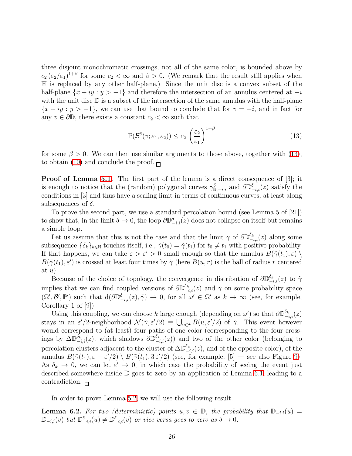three disjoint monochromatic crossings, not all of the same color, is bounded above by  $c_2$  ( $\varepsilon_2/\varepsilon_1$ )<sup>1+β</sup> for some  $c_2 < \infty$  and  $\beta > 0$ . (We remark that the result still applies when H is replaced by any other half-plane.) Since the unit disc is a convex subset of the half-plane  $\{x + iy : y > -1\}$  and therefore the intersection of an annulus centered at  $-i$ with the unit disc  $D$  is a subset of the intersection of the same annulus with the half-plane  ${x + iy : y > -1}$ , we can use that bound to conclude that for  $v = -i$ , and in fact for any  $v \in \partial \mathbb{D}$ , there exists a constant  $c_2 < \infty$  such that

<span id="page-25-0"></span>
$$
\mathbb{P}(\mathcal{B}^{\delta}(v; \varepsilon_1, \varepsilon_2)) \le c_2 \left(\frac{\varepsilon_2}{\varepsilon_1}\right)^{1+\beta} \tag{13}
$$

for some  $\beta > 0$ . We can then use similar arguments to those above, together with [\(13\)](#page-25-0), to obtain [\(10\)](#page-24-3) and conclude the proof.  $\Box$ 

**Proof of Lemma [5.1.](#page-21-2)** The first part of the lemma is a direct consequence of [3]; it is enough to notice that the (random) polygonal curves  $\gamma_{\mathbb{D},-i,i}^{\delta}$  and  $\partial \mathbb{D}_{-i,i}^{\delta}(z)$  satisfy the conditions in [3] and thus have a scaling limit in terms of continuous curves, at least along subsequences of  $\delta$ .

To prove the second part, we use a standard percolation bound (see Lemma 5 of [21]) to show that, in the limit  $\delta \to 0$ , the loop  $\partial \mathbb{D}_{-i,i}^{\delta}(z)$  does not collapse on itself but remains a simple loop.

Let us assume that this is not the case and that the limit  $\tilde{\gamma}$  of  $\partial \mathbb{D}_{-i,i}^{\delta_k}(z)$  along some subsequence  $\{\delta_k\}_{k\in\mathbb{N}}$  touches itself, i.e.,  $\tilde{\gamma}(t_0) = \tilde{\gamma}(t_1)$  for  $t_0 \neq t_1$  with positive probability. If that happens, we can take  $\varepsilon > \varepsilon' > 0$  small enough so that the annulus  $B(\tilde{\gamma}(t_1), \varepsilon)$  $B(\tilde{\gamma}(t_1), \varepsilon')$  is crossed at least four times by  $\tilde{\gamma}$  (here  $B(u, r)$  is the ball of radius r centered at  $u$ ).

Because of the choice of topology, the convergence in distribution of  $\partial \mathbb{D}_{-i,i}^{\delta_k}(z)$  to  $\tilde{\gamma}$ implies that we can find coupled versions of  $\partial \mathbb{D}_{-i,i}^{\delta_k}(z)$  and  $\tilde{\gamma}$  on some probability space  $(\Omega', \mathcal{B}', \mathbb{P}')$  such that  $d(\partial \mathbb{D}_{-i,i}^{\delta}(z), \tilde{\gamma}) \to 0$ , for all  $\omega' \in \Omega'$  as  $k \to \infty$  (see, for example, Corollary 1 of [9]).

Using this coupling, we can choose k large enough (depending on  $\omega'$ ) so that  $\partial \mathbb{D}_{-i,i}^{\delta_k}(z)$ stays in an  $\varepsilon'/2$ -neighborhood  $\mathcal{N}(\tilde{\gamma}, \varepsilon'/2) \equiv \bigcup_{u \in \tilde{\gamma}} B(u, \varepsilon'/2)$  of  $\tilde{\gamma}$ . This event however would correspond to (at least) four paths of one color (corresponding to the four crossings by  $\Delta \mathbb{D}_{-i,i}^{\delta_k}(z)$ , which shadows  $\partial \mathbb{D}_{-i,i}^{\delta_k}(z)$  and two of the other color (belonging to percolation clusters adjacent to the cluster of  $\Delta \mathbb{D}_{-i,i}^{\delta_k}(z)$ , and of the opposite color), of the annulus  $B(\tilde{\gamma}(t_1), \varepsilon - \varepsilon'/2) \setminus B(\tilde{\gamma}(t_1), 3 \varepsilon'/2)$  (see, for example, [5] — see also Figure [9\)](#page-26-0). As  $\delta_k \to 0$ , we can let  $\varepsilon' \to 0$ , in which case the probability of seeing the event just described somewhere inside D goes to zero by an application of Lemma [6.1,](#page-24-4) leading to a contradiction.  $\Box$ 

In order to prove Lemma [5.2,](#page-21-3) we will use the following result.

<span id="page-25-1"></span>**Lemma 6.2.** For two (deterministic) points  $u, v \in \mathbb{D}$ , the probability that  $\mathbb{D}_{-i,i}(u) =$  $\mathbb{D}_{-i,i}(v)$  but  $\mathbb{D}_{-i,i}^{\delta}(u) \neq \mathbb{D}_{-i,i}^{\delta}(v)$  or vice versa goes to zero as  $\delta \to 0$ .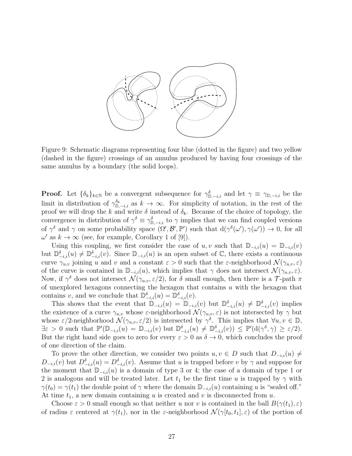

<span id="page-26-0"></span>Figure 9: Schematic diagrams representing four blue (dotted in the figure) and two yellow (dashed in the figure) crossings of an annulus produced by having four crossings of the same annulus by a boundary (the solid loops).

**Proof.** Let  $\{\delta_k\}_{k\in\mathbb{N}}$  be a convergent subsequence for  $\gamma_{\mathbb{D},-i,i}^{\delta}$  and let  $\gamma \equiv \gamma_{\mathbb{D},-i,i}$  be the limit in distribution of  $\gamma_{\mathbb{D},-i,i}^{\delta_k}$  as  $k \to \infty$ . For simplicity of notation, in the rest of the proof we will drop the k and write  $\delta$  instead of  $\delta_k$ . Because of the choice of topology, the convergence in distribution of  $\gamma^{\delta} \equiv \gamma_{\mathbb{D},-i,i}^{\delta}$  to  $\gamma$  implies that we can find coupled versions of  $\gamma^{\delta}$  and  $\gamma$  on some probability space  $(\Omega', \mathcal{B}', \mathbb{P}')$  such that  $d(\gamma^{\delta}(\omega'), \gamma(\omega')) \to 0$ , for all  $\omega'$  as  $k \to \infty$  (see, for example, Corollary 1 of [9]).

Using this coupling, we first consider the case of  $u, v$  such that  $\mathbb{D}_{-i,i}(u) = \mathbb{D}_{-i,i}(v)$ but  $\mathbb{D}^{\delta}_{-i,i}(u) \neq \mathbb{D}^{\delta}_{-i,i}(v)$ . Since  $\mathbb{D}_{-i,i}(u)$  is an open subset of C, there exists a continuous curve  $\gamma_{u,v}$  joining u and v and a constant  $\varepsilon > 0$  such that the  $\varepsilon$ -neighborhood  $\mathcal{N}(\gamma_{u,v}, \varepsilon)$ of the curve is contained in  $\mathbb{D}_{-i,i}(u)$ , which implies that  $\gamma$  does not intersect  $\mathcal{N}(\gamma_{u,v},\varepsilon)$ . Now, if  $\gamma^{\delta}$  does not intersect  $\mathcal{N}(\gamma_{u,v}, \varepsilon/2)$ , for  $\delta$  small enough, then there is a  $\mathcal{T}$ -path  $\pi$ of unexplored hexagons connecting the hexagon that contains  $u$  with the hexagon that contains v, and we conclude that  $\mathbb{D}_{-i,i}^{\delta}(u) = \mathbb{D}_{-i,i}^{\delta}(v)$ .

This shows that the event that  $\mathbb{D}_{-i,i}(u) = \mathbb{D}_{-i,i}(v)$  but  $\mathbb{D}_{-i,i}^{\delta}(u) \neq \mathbb{D}_{-i,i}^{\delta}(v)$  implies the existence of a curve  $\gamma_{u,v}$  whose  $\varepsilon$ -neighborhood  $\mathcal{N}(\gamma_{u,v}, \varepsilon)$  is not intersected by  $\gamma$  but whose  $\varepsilon/2$ -neighborhood  $\mathcal{N}(\gamma_{u,v}, \varepsilon/2)$  is intersected by  $\gamma^{\delta}$ . This implies that  $\forall u, v \in \mathbb{D}$ ,  $\exists \varepsilon > 0 \text{ such that } \mathbb{P}'(\mathbb{D}_{-i,i}(u)) = \mathbb{D}_{-i,i}(v) \text{ but } \mathbb{D}_{-i,i}^{\delta}(u) \neq \mathbb{D}_{-i,i}^{\delta}(v) \leq \mathbb{P}'(\mathrm{d}(\gamma^{\delta}, \gamma) \geq \varepsilon/2).$ But the right hand side goes to zero for every  $\varepsilon > 0$  as  $\delta \to 0$ , which concludes the proof of one direction of the claim.

To prove the other direction, we consider two points  $u, v \in D$  such that  $D_{-i,i}(u) \neq$  $D_{-i,i}(v)$  but  $D_{-i,i}^{\delta}(u) = D_{-i,i}^{\delta}(v)$ . Assume that u is trapped before v by  $\gamma$  and suppose for the moment that  $\mathbb{D}_{-i,i}(u)$  is a domain of type 3 or 4; the case of a domain of type 1 or 2 is analogous and will be treated later. Let  $t_1$  be the first time u is trapped by  $\gamma$  with  $\gamma(t_0) = \gamma(t_1)$  the double point of  $\gamma$  where the domain  $\mathbb{D}_{-i,i}(u)$  containing u is "sealed off." At time  $t_1$ , a new domain containing u is created and v is disconnected from u.

Choose  $\varepsilon > 0$  small enough so that neither u nor v is contained in the ball  $B(\gamma(t_1), \varepsilon)$ of radius  $\varepsilon$  centered at  $\gamma(t_1)$ , nor in the  $\varepsilon$ -neighborhood  $\mathcal{N}(\gamma[t_0, t_1], \varepsilon)$  of the portion of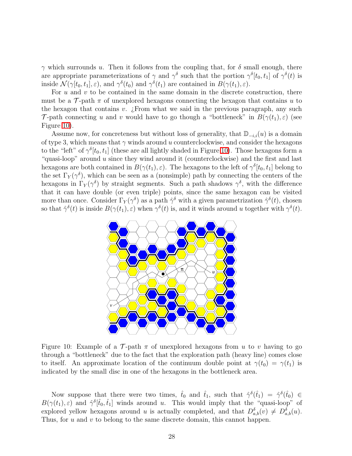$\gamma$  which surrounds u. Then it follows from the coupling that, for  $\delta$  small enough, there are appropriate parameterizations of  $\gamma$  and  $\gamma^{\delta}$  such that the portion  $\gamma^{\delta}[t_0, t_1]$  of  $\gamma^{\delta}(t)$  is inside  $\mathcal{N}(\gamma[t_0, t_1], \varepsilon)$ , and  $\gamma^{\delta}(t_0)$  and  $\gamma^{\delta}(t_1)$  are contained in  $B(\gamma(t_1), \varepsilon)$ .

For  $u$  and  $v$  to be contained in the same domain in the discrete construction, there must be a  $\mathcal{T}$ -path  $\pi$  of unexplored hexagons connecting the hexagon that contains u to the hexagon that contains v.  $\chi$ From what we said in the previous paragraph, any such T-path connecting u and v would have to go though a "bottleneck" in  $B(\gamma(t_1), \varepsilon)$  (see Figure [10\)](#page-27-0).

Assume now, for concreteness but without loss of generality, that  $\mathbb{D}_{-i,i}(u)$  is a domain of type 3, which means that  $\gamma$  winds around u counterclockwise, and consider the hexagons to the "left" of  $\gamma^{\delta}[t_0, t_1]$  (these are all lightly shaded in Figure [10\)](#page-27-0). Those hexagons form a "quasi-loop" around  $u$  since they wind around it (counterclockwise) and the first and last hexagons are both contained in  $B(\gamma(t_1), \varepsilon)$ . The hexagons to the left of  $\gamma^{\delta}[t_0, t_1]$  belong to the set  $\Gamma_Y(\gamma^{\delta})$ , which can be seen as a (nonsimple) path by connecting the centers of the hexagons in  $\Gamma_Y(\gamma^{\delta})$  by straight segments. Such a path shadows  $\gamma^{\delta}$ , with the difference that it can have double (or even triple) points, since the same hexagon can be visited more than once. Consider  $\Gamma_Y(\gamma^{\delta})$  as a path  $\hat{\gamma}^{\delta}$  with a given parametrization  $\hat{\gamma}^{\delta}(t)$ , chosen so that  $\hat{\gamma}^{\delta}(t)$  is inside  $B(\gamma(t_1), \varepsilon)$  when  $\gamma^{\delta}(t)$  is, and it winds around u together with  $\gamma^{\delta}(t)$ .



<span id="page-27-0"></span>Figure 10: Example of a  $\mathcal{T}$ -path  $\pi$  of unexplored hexagons from u to v having to go through a "bottleneck" due to the fact that the exploration path (heavy line) comes close to itself. An approximate location of the continuum double point at  $\gamma(t_0) = \gamma(t_1)$  is indicated by the small disc in one of the hexagons in the bottleneck area.

Now suppose that there were two times,  $\hat{t}_0$  and  $\hat{t}_1$ , such that  $\hat{\gamma}^{\delta}(\hat{t}_1) = \hat{\gamma}^{\delta}(\hat{t}_0) \in$  $B(\gamma(t_1),\varepsilon)$  and  $\hat{\gamma}^{\delta}[\hat{t}_0,\hat{t}_1]$  winds around u. This would imply that the "quasi-loop" of explored yellow hexagons around u is actually completed, and that  $D_{a,b}^{\delta}(v) \neq D_{a,b}^{\delta}(u)$ . Thus, for  $u$  and  $v$  to belong to the same discrete domain, this cannot happen.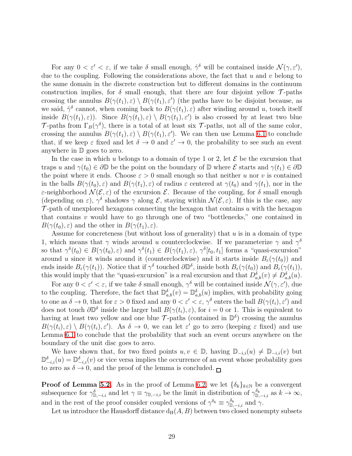For any  $0 < \varepsilon' < \varepsilon$ , if we take  $\delta$  small enough,  $\hat{\gamma}^{\delta}$  will be contained inside  $\mathcal{N}(\gamma, \varepsilon')$ , due to the coupling. Following the considerations above, the fact that  $u$  and  $v$  belong to the same domain in the discrete construction but to different domains in the continuum construction implies, for  $\delta$  small enough, that there are four disjoint yellow  $\mathcal{T}\text{-paths}$ crossing the annulus  $B(\gamma(t_1), \varepsilon) \setminus B(\gamma(t_1), \varepsilon')$  (the paths have to be disjoint because, as we said,  $\hat{\gamma}^{\delta}$  cannot, when coming back to  $B(\gamma(t_1), \varepsilon)$  after winding around u, touch itself inside  $B(\gamma(t_1),\varepsilon)$ . Since  $B(\gamma(t_1),\varepsilon) \setminus B(\gamma(t_1),\varepsilon')$  is also crossed by at least two blue T-paths from  $\Gamma_B(\gamma^{\delta})$ , there is a total of at least six T-paths, not all of the same color, crossing the annulus  $B(\gamma(t_1), \varepsilon) \setminus B(\gamma(t_1), \varepsilon')$ . We can then use Lemma [6.1](#page-24-4) to conclude that, if we keep  $\varepsilon$  fixed and let  $\delta \to 0$  and  $\varepsilon' \to 0$ , the probability to see such an event anywhere in D goes to zero.

In the case in which u belongs to a domain of type 1 or 2, let  $\mathcal E$  be the excursion that traps u and  $\gamma(t_0) \in \partial \mathbb{D}$  be the point on the boundary of  $\mathbb{D}$  where  $\mathcal{E}$  starts and  $\gamma(t_1) \in \partial \mathbb{D}$ the point where it ends. Choose  $\varepsilon > 0$  small enough so that neither u nor v is contained in the balls  $B(\gamma(t_0),\varepsilon)$  and  $B(\gamma(t_1),\varepsilon)$  of radius  $\varepsilon$  centered at  $\gamma(t_0)$  and  $\gamma(t_1)$ , nor in the ε-neighborhood  $\mathcal{N}(\mathcal{E}, \varepsilon)$  of the excursion  $\mathcal{E}$ . Because of the coupling, for δ small enough (depending on  $\varepsilon$ ),  $\gamma^{\delta}$  shadows  $\gamma$  along  $\mathcal{E}$ , staying within  $\mathcal{N}(\mathcal{E}, \varepsilon)$ . If this is the case, any  $\mathcal{T}$ -path of unexplored hexagons connecting the hexagon that contains u with the hexagon that contains  $v$  would have to go through one of two "bottlenecks," one contained in  $B(\gamma(t_0),\varepsilon)$  and the other in  $B(\gamma(t_1),\varepsilon)$ .

Assume for concreteness (but without loss of generality) that  $u$  is in a domain of type 1, which means that  $\gamma$  winds around u counterclockwise. If we parameterize  $\gamma$  and  $\gamma^{\delta}$ so that  $\gamma^{\delta}(t_0) \in B(\gamma(t_0), \varepsilon)$  and  $\gamma^{\delta}(t_1) \in B(\gamma(t_1), \varepsilon)$ ,  $\gamma^{\delta}[t_0, t_1]$  forms a "quasi-excursion" around u since it winds around it (counterclockwise) and it starts inside  $B_{\varepsilon}(\gamma(t_0))$  and ends inside  $B_\varepsilon(\gamma(t_1))$ . Notice that if  $\gamma^{\delta}$  touched  $\partial \mathbb{D}^{\delta}$ , inside both  $B_\varepsilon(\gamma(t_0))$  and  $B_\varepsilon(\gamma(t_1))$ , this would imply that the "quasi-excursion" is a real excursion and that  $D_{a,b}^{\delta}(v) \neq D_{a,b}^{\delta}(u)$ .

For any  $0 < \varepsilon' < \varepsilon$ , if we take  $\delta$  small enough,  $\gamma^{\delta}$  will be contained inside  $\mathcal{N}(\gamma, \varepsilon')$ , due to the coupling. Therefore, the fact that  $\mathbb{D}_{a,b}^{\delta}(v) = \mathbb{D}_{a,b}^{\delta}(u)$  implies, with probability going to one as  $\delta \to 0$ , that for  $\varepsilon > 0$  fixed and any  $0 < \varepsilon' < \varepsilon$ ,  $\gamma^{\delta}$  enters the ball  $B(\gamma(t_i), \varepsilon')$  and does not touch  $\partial \mathbb{D}^{\delta}$  inside the larger ball  $B(\gamma(t_i), \varepsilon)$ , for  $i = 0$  or 1. This is equivalent to having at least two yellow and one blue  $\mathcal{T}$ -paths (contained in  $\mathbb{D}^{\delta}$ ) crossing the annulus  $B(\gamma(t_i),\varepsilon) \setminus B(\gamma(t_i),\varepsilon')$ . As  $\delta \to 0$ , we can let  $\varepsilon'$  go to zero (keeping  $\varepsilon$  fixed) and use Lemma [6.1](#page-24-4) to conclude that the probability that such an event occurs anywhere on the boundary of the unit disc goes to zero.

We have shown that, for two fixed points  $u, v \in \mathbb{D}$ , having  $\mathbb{D}_{-i,i}(u) \neq \mathbb{D}_{-i,i}(v)$  but  $\mathbb{D}^{\delta}_{-i,i}(u) = \mathbb{D}^{\delta}_{-i,i}(v)$  or vice versa implies the occurrence of an event whose probability goes to zero as  $\delta \to 0$ , and the proof of the lemma is concluded.

**Proof of Lemma [5.2.](#page-21-3)** As in the proof of Lemma [6.2,](#page-25-1) we let  $\{\delta_k\}_{k\in\mathbb{N}}$  be a convergent subsequence for  $\gamma_{\mathbb{D},-i,i}^{\delta}$  and let  $\gamma \equiv \gamma_{\mathbb{D},-i,i}$  be the limit in distribution of  $\gamma_{\mathbb{D},-i,i}^{\delta_k}$  as  $k \to \infty$ , and in the rest of the proof consider coupled versions of  $\gamma^{\delta_k} \equiv \gamma_{\mathbb{D},-i,i}^{\delta_k}$  and  $\gamma$ .

Let us introduce the Hausdorff distance  $d_H(A, B)$  between two closed nonempty subsets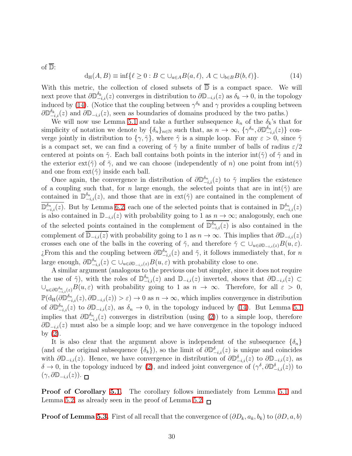<span id="page-29-0"></span>of  $\overline{\mathbb{D}}$ :

$$
d_H(A, B) \equiv \inf \{ \ell \ge 0 : B \subset \bigcup_{a \in A} B(a, \ell), A \subset \bigcup_{b \in B} B(b, \ell) \}. \tag{14}
$$

With this metric, the collection of closed subsets of  $\overline{D}$  is a compact space. We will next prove that  $\partial \mathbb{D}_{-i,i}^{\delta_k}(z)$  converges in distribution to  $\partial \mathbb{D}_{-i,i}(z)$  as  $\delta_k \to 0$ , in the topology induced by [\(14\)](#page-29-0). (Notice that the coupling between  $\gamma^{\delta_k}$  and  $\gamma$  provides a coupling between  $\partial \mathbb{D}_{-i,i}^{\delta_k}(z)$  and  $\partial \mathbb{D}_{-i,i}(z)$ , seen as boundaries of domains produced by the two paths.)

We will now use Lemma [5.1](#page-21-2) and take a further subsequence  $k_n$  of the  $\delta_k$ 's that for simplicity of notation we denote by  $\{\delta_n\}_{n\in\mathbb{N}}$  such that, as  $n \to \infty$ ,  $\{\gamma^{\delta_n}, \partial \mathbb{D}_{-i,i}^{\delta_n}(z)\}\)$  converge jointly in distribution to  $\{\gamma, \tilde{\gamma}\}\$ , where  $\tilde{\gamma}$  is a simple loop. For any  $\varepsilon > 0$ , since  $\tilde{\gamma}$ is a compact set, we can find a covering of  $\tilde{\gamma}$  by a finite number of balls of radius  $\varepsilon/2$ centered at points on  $\tilde{\gamma}$ . Each ball contains both points in the interior int( $\tilde{\gamma}$ ) of  $\tilde{\gamma}$  and in the exterior ext( $\tilde{\gamma}$ ) of  $\tilde{\gamma}$ , and we can choose (independently of n) one point from  $\text{int}(\tilde{\gamma})$ and one from  $ext(\tilde{\gamma})$  inside each ball.

Once again, the convergence in distribution of  $\partial \mathbb{D}_{-i,i}^{\delta_n}(z)$  to  $\tilde{\gamma}$  implies the existence of a coupling such that, for n large enough, the selected points that are in  $int(\tilde{\gamma})$  are contained in  $\mathbb{D}_{-i,i}^{\delta_n}(z)$ , and those that are in  $ext(\tilde{\gamma})$  are contained in the complement of  $\mathbb{D}_{-i,i}^{\delta_n}(z)$ . But by Lemma [6.2,](#page-25-1) each one of the selected points that is contained in  $\mathbb{D}_{-i,i}^{\delta_n}(z)$ is also contained in  $\mathbb{D}_{-i,i}(z)$  with probability going to 1 as  $n \to \infty$ ; analogously, each one of the selected points contained in the complement of  $\mathbb{D}_{-i,i}^{\delta_n}(z)$  is also contained in the complement of  $\mathbb{D}_{-i,i}(z)$  with probability going to 1 as  $n \to \infty$ . This implies that  $\partial \mathbb{D}_{-i,i}(z)$ crosses each one of the balls in the covering of  $\tilde{\gamma}$ , and therefore  $\tilde{\gamma} \subset \bigcup_{u \in \partial \mathbb{D}_{-i,i}(z)} B(u, \varepsilon)$ . ¿From this and the coupling between  $\partial \mathbb{D}_{-i,i}^{\delta_n}(z)$  and  $\tilde{\gamma}$ , it follows immediately that, for n large enough,  $\partial \mathbb{D}_{-i,i}^{\delta_n}(z) \subset \bigcup_{u \in \partial \mathbb{D}_{-i,i}(z)} B(u,\varepsilon)$  with probability close to one.

A similar argument (analogous to the previous one but simpler, since it does not require the use of  $\tilde{\gamma}$ ), with the roles of  $\mathbb{D}_{-i,i}^{\delta_n}(z)$  and  $\mathbb{D}_{-i,i}(z)$  inverted, shows that  $\partial \mathbb{D}_{-i,i}(z) \subset$  $\cup_{u\in\partial\mathbb{D}_{-i,i}^{\delta_n}(z)}B(u,\varepsilon)$  with probability going to 1 as  $n\to\infty$ . Therefore, for all  $\varepsilon>0$ ,  $\mathbb{P}(\mathrm{d}_{\mathrm{H}}(\partial \mathbb{D}_{-i,i}^{\delta_n}(z),\partial \mathbb{D}_{-i,i}(z)) > \varepsilon) \to 0$  as  $n \to \infty$ , which implies convergence in distribution of  $\partial \mathbb{D}_{-i,i}^{\delta_n}(z)$  to  $\partial \mathbb{D}_{-i,i}(z)$ , as  $\delta_n \to 0$ , in the topology induced by [\(14\)](#page-29-0). But Lemma [5.1](#page-21-2) implies that  $\partial \mathbb{D}_{-i,i}^{\delta_n}(z)$  converges in distribution (using [\(2\)](#page-7-0)) to a simple loop, therefore  $\partial \mathbb{D}_{-i,i}(z)$  must also be a simple loop; and we have convergence in the topology induced by  $(2)$ .

It is also clear that the argument above is independent of the subsequence  $\{\delta_n\}$ (and of the original subsequence  $\{\delta_k\}$ ), so the limit of  $\partial \mathbb{D}_{-i,i}^{\delta}(z)$  is unique and coincides with  $\partial \mathbb{D}_{-i,i}(z)$ . Hence, we have convergence in distribution of  $\partial \mathbb{D}_{-i,i}(z)$  to  $\partial \mathbb{D}_{-i,i}(z)$ , as  $\delta \to 0$ , in the topology induced by [\(2\)](#page-7-0), and indeed joint convergence of  $(\gamma^{\delta}, \partial \mathbb{D}_{-i,i}^{\delta}(z))$  to  $(\gamma, \partial \mathbb{D}_{-i,i}(z))$ .  $\Box$ 

**Proof of Corollary [5.1.](#page-21-1)** The corollary follows immediately from Lemma [5.1](#page-21-2) and Lemma [5.2,](#page-21-3) as already seen in the proof of Lemma [5.2.](#page-21-3)  $\Box$ 

**Proof of Lemma [5.3.](#page-21-0)** First of all recall that the convergence of  $(\partial D_k, a_k, b_k)$  to  $(\partial D, a, b)$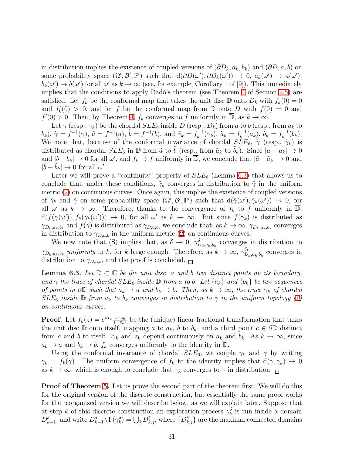in distribution implies the existence of coupled versions of  $(\partial D_k, a_k, b_k)$  and  $(\partial D, a, b)$  on some probability space  $(\Omega', \mathcal{B}', \mathbb{P}')$  such that  $d(\partial D(\omega'), \partial D_k(\omega')) \to 0, a_k(\omega') \to a(\omega'),$  $b_k(\omega') \to b(\omega')$  for all  $\omega'$  as  $k \to \infty$  (see, for example, Corollary 1 of [9]). This immediately implies that the conditions to apply Radó's theorem (see Theorem  $4$  of Section [2.5\)](#page-9-2) are satisfied. Let  $f_k$  be the conformal map that takes the unit disc  $\mathbb D$  onto  $D_k$  with  $f_k(0) = 0$ and  $f'_k(0) > 0$ , and let f be the conformal map from  $D$  onto D with  $f(0) = 0$  and  $f'(0) > 0$ . Then, by Theorem [4,](#page-9-0)  $f_k$  converges to f uniformly in  $\overline{\mathbb{D}}$ , as  $k \to \infty$ .

Let  $\gamma$  (resp.,  $\gamma_k$ ) be the chordal  $SLE_6$  inside D (resp.,  $D_k$ ) from a to b (resp., from  $a_k$  to  $(b_k)$ ,  $\tilde{\gamma} = f^{-1}(\gamma)$ ,  $\tilde{a} = f^{-1}(a)$ ,  $\tilde{b} = f^{-1}(b)$ , and  $\tilde{\gamma}_k = f_k^{-1}(\gamma_k)$ ,  $\tilde{a}_k = f_k^{-1}(a_k)$ ,  $\tilde{b}_k = f_k^{-1}(b_k)$ . We note that, because of the conformal invariance of chordal  $SLE_6$ ,  $\tilde{\gamma}$  (resp.,  $\tilde{\gamma}_k$ ) is distributed as chordal  $SLE_6$  in  $\mathbb D$  from  $\tilde{a}$  to b (resp., from  $\tilde{a}_k$  to  $b_k$ ). Since  $|a - a_k| \to 0$ and  $|b - b_k| \to 0$  for all  $\omega'$ , and  $f_k \to f$  uniformly in  $\overline{\mathbb{D}}$ , we conclude that  $|\tilde{a} - \tilde{a}_k| \to 0$  and  $|\tilde{b} - \tilde{b}_k| \to 0$  for all  $\omega'$ .

Later we will prove a "continuity" property of  $SLE_6$  (Lemma [6.3\)](#page-30-0) that allows us to conclude that, under these conditions,  $\tilde{\gamma}_k$  converges in distribution to  $\tilde{\gamma}$  in the uniform metric [\(2\)](#page-7-0) on continuous curves. Once again, this implies the existence of coupled versions of  $\tilde{\gamma}_k$  and  $\tilde{\gamma}$  on some probability space  $(\Omega', \mathcal{B}', \mathbb{P}')$  such that  $d(\tilde{\gamma}(\omega'), \tilde{\gamma}_k(\omega')) \to 0$ , for all  $\omega'$  as  $k \to \infty$ . Therefore, thanks to the convergence of  $f_k$  to f uniformly in  $\overline{\mathbb{D}}$ ,  $d(f(\tilde{\gamma}(\omega')), f_k(\tilde{\gamma}_k(\omega'))) \to 0$ , for all  $\omega'$  as  $k \to \infty$ . But since  $f(\tilde{\gamma}_k)$  is distributed as  $\gamma_{D_k,a_k,b_k}$  and  $f(\tilde{\gamma})$  is distributed as  $\gamma_{D,a,b}$ , we conclude that, as  $k \to \infty$ ,  $\gamma_{D_k,a_k,b_k}$  converges in distribution to  $\gamma_{D,a,b}$  in the uniform metric [\(2\)](#page-7-0) on continuous curves.

We now note that (S) implies that, as  $\delta \to 0$ ,  $\gamma_{D_k,a_k,b_k}^{\delta}$  converges in distribution to  $\gamma_{D_k,a_k,b_k}$  uniformly in k, for k large enough. Therefore, as  $k \to \infty$ ,  $\gamma_{D_k}^{\delta_k}$  $b_{k,a_k,b_k}^{\delta_k}$  converges in distribution to  $\gamma_{D,a,b}$ , and the proof is concluded.

<span id="page-30-0"></span>**Lemma 6.3.** Let  $\mathbb{D} \subset \mathbb{C}$  be the unit disc, a and b two distinct points on its boundary, and  $\gamma$  the trace of chordal  $SLE_6$  inside  $\mathbb D$  from a to b. Let  $\{a_k\}$  and  $\{b_k\}$  be two sequences of points in  $\partial \mathbb{D}$  such that  $a_k \to a$  and  $b_k \to b$ . Then, as  $k \to \infty$ , the trace  $\gamma_k$  of chordal  $SLE_6$  inside  $\mathbb D$  from  $a_k$  to  $b_k$  converges in distribution to  $\gamma$  in the uniform topology [\(2\)](#page-7-0) on continuous curves.

**Proof.** Let  $f_k(z) = e^{i\alpha_k} \frac{z-z_k}{1-\overline{z}_k}$  $\frac{z-z_k}{1-\bar{z}_kz}$  be the (unique) linear fractional transformation that takes the unit disc D onto itself, mapping a to  $a_k$ , b to  $b_k$ , and a third point  $c \in \partial \mathbb{D}$  distinct from a and b to itself.  $\alpha_k$  and  $z_k$  depend continuously on  $a_k$  and  $b_k$ . As  $k \to \infty$ , since  $a_k \to a$  and  $b_k \to b$ ,  $f_k$  converges uniformly to the identity in  $\mathbb{D}$ .

Using the conformal invariance of chordal  $SLE_6$ , we couple  $\gamma_k$  and  $\gamma$  by writing  $\gamma_k = f_k(\gamma)$ . The uniform convergence of  $f_k$  to the identity implies that  $d(\gamma, \gamma_k) \to 0$ as  $k \to \infty$ , which is enough to conclude that  $\gamma_k$  converges to  $\gamma$  in distribution.  $\Box$ 

**Proof of Theorem [5.](#page-22-1)** Let us prove the second part of the theorem first. We will do this for the original version of the discrete construction, but essentially the same proof works for the reorganized version we will describe below, as we will explain later. Suppose that at step k of this discrete construction an exploration process  $\gamma_k^{\delta}$  is run inside a domain  $D_{k-1}^{\delta}$ , and write  $D_{k-1}^{\delta} \setminus \Gamma(\gamma_k^{\delta}) = \bigcup_j D_{k,j}^{\delta}$ , where  $\{D_{k,j}^{\delta}\}$  are the maximal connected domains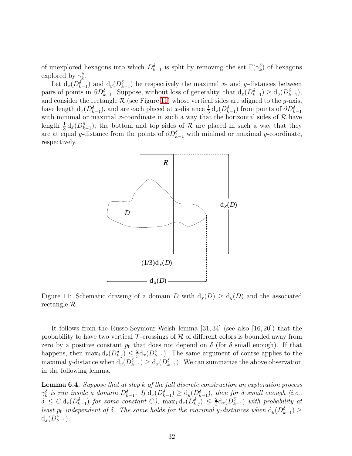of unexplored hexagons into which  $D_{k-1}^{\delta}$  is split by removing the set  $\Gamma(\gamma_k^{\delta})$  of hexagons explored by  $\gamma_k^{\delta}$ .

Let  $d_x(D_{k-1}^{\delta})$  and  $d_y(D_{k-1}^{\delta})$  be respectively the maximal x- and y-distances between pairs of points in  $\partial D_{k-1}^{\delta}$ . Suppose, without loss of generality, that  $d_x(D_{k-1}^{\delta}) \geq d_y(D_{k-1}^{\delta})$ , and consider the rectangle  $R$  (see Figure [11\)](#page-31-0) whose vertical sides are aligned to the y-axis, have length  $d_x(D_{k-1}^{\delta})$ , and are each placed at x-distance  $\frac{1}{3} d_x(D_{k-1}^{\delta})$  from points of  $\partial D_{k-1}^{\delta}$ with minimal or maximal x-coordinate in such a way that the horizontal sides of  $R$  have length  $\frac{1}{3} d_x(D_{k-1}^{\delta})$ ; the bottom and top sides of R are placed in such a way that they are at equal y-distance from the points of  $\partial D_{k-1}^{\delta}$  with minimal or maximal y-coordinate, respectively.



<span id="page-31-0"></span>Figure 11: Schematic drawing of a domain D with  $d_x(D) \geq d_y(D)$  and the associated rectangle R.

It follows from the Russo-Seymour-Welsh lemma [31, 34] (see also [16, 20]) that the probability to have two vertical  $\mathcal T$ -crossings of  $\mathcal R$  of different colors is bounded away from zero by a positive constant  $p_0$  that does not depend on  $\delta$  (for  $\delta$  small enough). If that happens, then  $\max_j d_x(D_{k,j}^{\delta}) \leq \frac{2}{3}$  $\frac{2}{3}d_x(D_{k-1}^{\delta})$ . The same argument of course applies to the maximal y-distance when  $d_y(D_{k-1}^{\delta}) \geq d_x(D_{k-1}^{\delta})$ . We can summarize the above observation in the following lemma.

<span id="page-31-1"></span>**Lemma 6.4.** Suppose that at step k of the full discrete construction an exploration process  $\gamma_k^{\delta}$  is run inside a domain  $D_{k-1}^{\delta}$ . If  $d_x(D_{k-1}^{\delta}) \geq d_y(D_{k-1}^{\delta})$ , then for  $\delta$  small enough (i.e.,  $\delta \leq C \, \mathrm{d}_x(D^{\delta}_{k-1})$  for some constant C),  $\max_j \mathrm{d}_x(D^{\delta}_{k,j}) \leq \frac{2}{3}$  $\frac{2}{3}d_x(D_{k-1}^{\delta})$  with probability at least  $p_0$  independent of  $\delta$ . The same holds for the maximal y-distances when  $d_y(D_{k-1}^{\delta}) \ge$  $d_x(D_{k-1}^{\delta}).$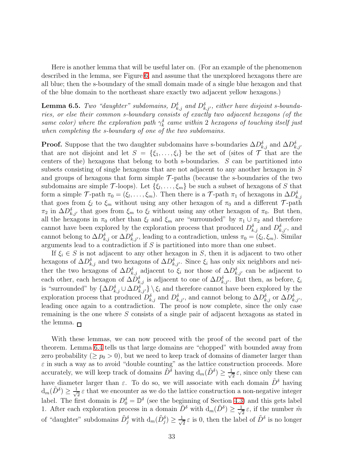Here is another lemma that will be useful later on. (For an example of the phenomenon described in the lemma, see Figure [6,](#page-16-0) and assume that the unexplored hexagons there are all blue; then the s-boundary of the small domain made of a single blue hexagon and that of the blue domain to the northeast share exactly two adjacent yellow hexagons.)

<span id="page-32-0"></span>**Lemma 6.5.** Two "daughter" subdomains,  $D_{k,j}^{\delta}$  and  $D_{k,j'}^{\delta}$ , either have disjoint s-boundaries, or else their common s-boundary consists of exactly two adjacent hexagons (of the same color) where the exploration path  $\gamma_k^{\delta}$  came within 2 hexagons of touching itself just when completing the s-boundary of one of the two subdomains.

**Proof.** Suppose that the two daughter subdomains have s-boundaries  $\Delta D_{k,j}^{\delta}$  and  $\Delta D_{k,j'}^{\delta}$ that are not disjoint and let  $S = \{\xi_1, \ldots, \xi_i\}$  be the set of (sites of  $\mathcal{T}$  that are the centers of the) hexagons that belong to both s-boundaries. S can be partitioned into subsets consisting of single hexagons that are not adjacent to any another hexagon in S and groups of hexagons that form simple  $\mathcal{T}\text{-paths}$  (because the s-boundaries of the two subdomains are simple  $\mathcal{T}$ -loops). Let  $\{\xi_l, \ldots, \xi_m\}$  be such a subset of hexagons of S that form a simple  $\mathcal{T}$ -path  $\pi_0 = (\xi_1, \ldots, \xi_m)$ . Then there is a  $\mathcal{T}$ -path  $\pi_1$  of hexagons in  $\Delta D_{k,j}^{\delta}$ that goes from  $\xi_l$  to  $\xi_m$  without using any other hexagon of  $\pi_0$  and a different  $\mathcal{T}\text{-path}$  $\pi_2$  in  $\Delta D_{k,j'}^{\delta}$  that goes from  $\xi_m$  to  $\xi_l$  without using any other hexagon of  $\pi_0$ . But then, all the hexagons in  $\pi_0$  other than  $\xi_l$  and  $\xi_m$  are "surrounded" by  $\pi_1 \cup \pi_2$  and therefore cannot have been explored by the exploration process that produced  $D_{k,j}^{\delta}$  and  $D_{k,j'}^{\delta}$ , and cannot belong to  $\Delta D_{k,j}^{\delta}$  or  $\Delta D_{k,j'}^{\delta}$ , leading to a contradiction, unless  $\pi_0 = (\xi_l, \xi_m)$ . Similar arguments lead to a contradiction if S is partitioned into more than one subset.

If  $\xi_i \in S$  is not adjacent to any other hexagon in S, then it is adjacent to two other hexagons of  $\Delta D_{k,j}^{\delta}$  and two hexagons of  $\Delta D_{k,j'}^{\delta}$ . Since  $\xi_i$  has only six neighbors and neither the two hexagons of  $\Delta D_{k,j}^{\delta}$  adjacent to  $\xi_i$  nor those of  $\Delta D_{k,j'}^{\delta}$  can be adjacent to each other, each hexagon of  $\Delta D_{k,j}^{\delta}$  is adjacent to one of  $\Delta D_{k,j'}^{\delta}$ . But then, as before,  $\xi_i$ is "surrounded" by  $\{\Delta D_{k,j}^{\delta} \cup \Delta D_{k,j'}^{\delta}\}\$   $\xi_i$  and therefore cannot have been explored by the exploration process that produced  $D_{k,j}^{\delta}$  and  $D_{k,j'}^{\delta}$ , and cannot belong to  $\Delta D_{k,j}^{\delta}$  or  $\Delta D_{k,j'}^{\delta}$ , leading once again to a contradiction. The proof is now complete, since the only case remaining is the one where S consists of a single pair of adjacent hexagons as stated in the lemma.  $\Box$ 

With these lemmas, we can now proceed with the proof of the second part of the theorem. Lemma [6.4](#page-31-1) tells us that large domains are "chopped" with bounded away from zero probability ( $\geq p_0 > 0$ ), but we need to keep track of domains of diameter larger than  $\varepsilon$  in such a way as to avoid "double counting" as the lattice construction proceeds. More accurately, we will keep track of domains  $\tilde{D}^{\delta}$  having  $d_m(\tilde{D}^{\delta}) \geq \frac{1}{\sqrt{n}}$  $\frac{1}{2}\varepsilon$ , since only these can have diameter larger than  $\varepsilon$ . To do so, we will associate with each domain  $\tilde{D}^{\delta}$  having  $\text{d}_m(\tilde{D}^\delta) \geq \frac{1}{\sqrt{\delta}}$  $\frac{1}{2} \varepsilon$  that we encounter as we do the lattice construction a non-negative integer label. The first domain is  $D_0^{\delta} = \mathbb{D}^{\delta}$  (see the beginning of Section [4.3\)](#page-18-1) and this gets label 1. After each exploration process in a domain  $\tilde{D}^{\delta}$  with  $d_m(\tilde{D}^{\delta}) \geq \frac{1}{\sqrt{\delta}}$  $\frac{1}{2}\varepsilon$ , if the number  $\tilde{m}$ of "daughter" subdomains  $\tilde{D}_j^{\delta}$  with  $d_m(\tilde{D}_j^{\delta}) \geq \frac{1}{\sqrt{n}}$  $\frac{1}{2} \varepsilon$  is 0, then the label of  $\tilde{D}^{\delta}$  is no longer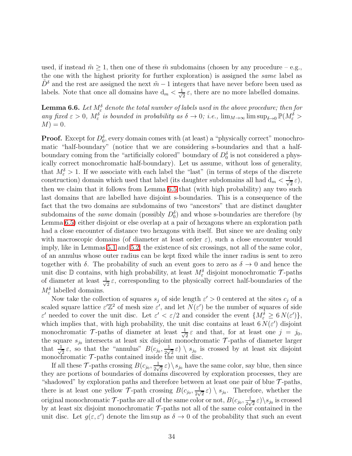used, if instead  $\tilde{m} \geq 1$ , then one of these  $\tilde{m}$  subdomains (chosen by any procedure – e.g., the one with the highest priority for further exploration) is assigned the same label as  $\tilde{D}^{\delta}$  and the rest are assigned the next  $\tilde{m} - 1$  integers that have never before been used as labels. Note that once all domains have  $d_m < \frac{1}{\sqrt{2}}$  $\frac{1}{2}\varepsilon$ , there are no more labelled domains.

<span id="page-33-0"></span>**Lemma 6.6.** Let  $M_{\varepsilon}^{\delta}$  denote the total number of labels used in the above procedure; then for any fixed  $\varepsilon > 0$ ,  $M_{\varepsilon}^{\delta}$  is bounded in probability as  $\delta \to 0$ ; i.e.,  $\lim_{M \to \infty} \limsup_{\delta \to 0} \mathbb{P}(M_{\varepsilon}^{\delta} >$  $M$ ) = 0.

**Proof.** Except for  $D_0^{\delta}$ , every domain comes with (at least) a "physically correct" monochromatic "half-boundary" (notice that we are considering s-boundaries and that a halfboundary coming from the "artificially colored" boundary of  $D_0^{\delta}$  is not considered a physically correct monochromatic half-boundary). Let us assume, without loss of generality, that  $M_{\varepsilon}^{\delta} > 1$ . If we associate with each label the "last" (in terms of steps of the discrete construction) domain which used that label (its daughter subdomains all had  $d_m < \frac{1}{\sqrt{2}}$  $\frac{1}{2}$   $\varepsilon$ ), then we claim that it follows from Lemma [6.5](#page-32-0) that (with high probability) any two such last domains that are labelled have disjoint s-boundaries. This is a consequence of the fact that the two domains are subdomains of two "ancestors" that are distinct daughter subdomains of the *same* domain (possibly  $D_0^{\delta}$ ) and whose s-boundaries are therefore (by Lemma [6.5\)](#page-32-0) either disjoint or else overlap at a pair of hexagons where an exploration path had a close encounter of distance two hexagons with itself. But since we are dealing only with macroscopic domains (of diameter at least order  $\varepsilon$ ), such a close encounter would imply, like in Lemmas [5.1](#page-21-2) and [5.2,](#page-21-3) the existence of six crossings, not all of the same color, of an annulus whose outer radius can be kept fixed while the inner radius is sent to zero together with  $\delta$ . The probability of such an event goes to zero as  $\delta \to 0$  and hence the unit disc  $\mathbb D$  contains, with high probability, at least  $M_{\varepsilon}^{\delta}$  disjoint monochromatic  $\mathcal T$ -paths of diameter at least  $\frac{1}{\sqrt{2}}$  $\frac{1}{2}\varepsilon$ , corresponding to the physically correct half-boundaries of the  $M_{\varepsilon}^{\delta}$  labelled domains.

Now take the collection of squares  $s_j$  of side length  $\varepsilon' > 0$  centered at the sites  $c_j$  of a scaled square lattice  $\varepsilon' \mathbb{Z}^2$  of mesh size  $\varepsilon'$ , and let  $N(\varepsilon')$  be the number of squares of side  $\varepsilon'$  needed to cover the unit disc. Let  $\varepsilon' < \varepsilon/2$  and consider the event  $\{M_{\varepsilon}^{\delta} \geq 6 N(\varepsilon')\},\$ which implies that, with high probability, the unit disc contains at least  $6 N(\epsilon')$  disjoint monochromatic  $\mathcal{T}$ -paths of diameter at least  $\frac{1}{\sqrt{2}}$  $\frac{1}{2} \varepsilon$  and that, for at least one  $j = j_0$ , the square  $s_{j_0}$  intersects at least six disjoint monochromatic  $\mathcal{T}$ -paths of diameter larger that  $\frac{1}{\sqrt{2}}$  $\frac{1}{2}\varepsilon$ , so that the "annulus"  $B(c_{j_0}, \frac{1}{2y})$  $\frac{1}{2\sqrt{2}}\epsilon$   $\setminus$   $s_{j_0}$  is crossed by at least six disjoint monochromatic  $\mathcal{T}$ -paths contained inside the unit disc.

If all these  $\mathcal{T}$ -paths crossing  $B(c_{j_0}, \frac{1}{2\sqrt{N}})$  $(\frac{1}{2\sqrt{2}}\varepsilon)\setminus s_{j_0}$  have the same color, say blue, then since they are portions of boundaries of domains discovered by exploration processes, they are "shadowed" by exploration paths and therefore between at least one pair of blue  $\mathcal{T}\text{-paths}$ , there is at least one yellow  $\mathcal{T}$ -path crossing  $B(c_{j_0}, \frac{1}{2\sqrt{N}})$  $\frac{1}{2\sqrt{2}}\epsilon$   $\setminus$   $s_{j_0}$ . Therefore, whether the original monochromatic  ${\cal T}$ -paths are all of the same color or not,  $B(c_{j_0}, \frac{1}{2\sqrt{N}})$  $\frac{1}{2\sqrt{2}}\epsilon) \backslash s_{j_0}$  is crossed by at least six disjoint monochromatic  $\mathcal{T}\text{-paths}$  not all of the same color contained in the unit disc. Let  $g(\varepsilon, \varepsilon')$  denote the lim sup as  $\delta \to 0$  of the probability that such an event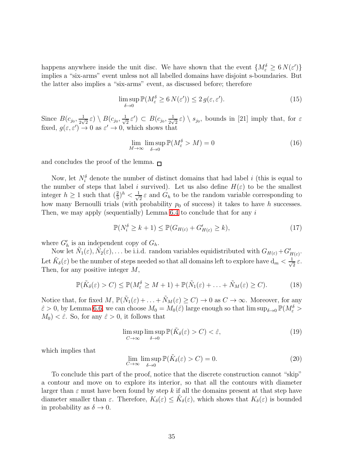happens anywhere inside the unit disc. We have shown that the event  ${M_{\varepsilon}^{\delta} \ge 6 N(\varepsilon')}$ implies a "six-arms" event unless not all labelled domains have disjoint s-boundaries. But the latter also implies a "six-arms" event, as discussed before; therefore

$$
\limsup_{\delta \to 0} \mathbb{P}(M_{\varepsilon}^{\delta} \ge 6 N(\varepsilon')) \le 2 g(\varepsilon, \varepsilon'). \tag{15}
$$

Since  $B(c_{j_0}, \frac{1}{2\sqrt{N}})$  $\frac{1}{2\sqrt{2}}\,\varepsilon)\setminus B(c_{j_0},\frac{1}{\sqrt{2}})$  $(\frac{1}{2} \varepsilon') \subset B(c_{j_0}, \frac{1}{2\sqrt{j_0}})$  $\frac{1}{2\sqrt{2}}\epsilon$   $\setminus$   $s_{j_0}$ , bounds in [21] imply that, for  $\epsilon$ fixed,  $g(\varepsilon, \varepsilon') \to 0$  as  $\varepsilon' \to 0$ , which shows that

$$
\lim_{M \to \infty} \limsup_{\delta \to 0} \mathbb{P}(M_{\varepsilon}^{\delta} > M) = 0
$$
\n(16)

and concludes the proof of the lemma.  $\Box$ 

Now, let  $N_i^{\delta}$  denote the number of distinct domains that had label i (this is equal to the number of steps that label i survived). Let us also define  $H(\varepsilon)$  to be the smallest integer  $h \geq 1$  such that  $(\frac{2}{3})^h < \frac{1}{\sqrt{2}}$  $\frac{1}{2} \varepsilon$  and  $G_h$  to be the random variable corresponding to how many Bernoulli trials (with probability  $p_0$  of success) it takes to have h successes. Then, we may apply (sequentially) Lemma [6.4](#page-31-1) to conclude that for any i

$$
\mathbb{P}(N_i^{\delta} \ge k+1) \le \mathbb{P}(G_{H(\varepsilon)} + G'_{H(\varepsilon)} \ge k),\tag{17}
$$

where  $G'_{h}$  is an independent copy of  $G_{h}$ .

Now let  $\tilde{N}_1(\varepsilon), \tilde{N}_2(\varepsilon), \ldots$  be i.i.d. random variables equidistributed with  $G_{H(\varepsilon)} + G'_{H(\varepsilon)}$ . Let  $\tilde{K}_\delta(\varepsilon)$  be the number of steps needed so that all domains left to explore have  $d_m < \frac{1}{\sqrt{\delta}}$  $\frac{1}{2}$   $\varepsilon$ . Then, for any positive integer M,

$$
\mathbb{P}(\tilde{K}_{\delta}(\varepsilon) > C) \le \mathbb{P}(M_{\varepsilon}^{\delta} \ge M + 1) + \mathbb{P}(\tilde{N}_1(\varepsilon) + \dots + \tilde{N}_M(\varepsilon) \ge C). \tag{18}
$$

Notice that, for fixed  $M$ ,  $\mathbb{P}(\tilde{N}_1(\varepsilon) + \ldots + \tilde{N}_M(\varepsilon) \ge C) \to 0$  as  $C \to \infty$ . Moreover, for any  $\hat{\varepsilon} > 0$ , by Lemma [6.6,](#page-33-0) we can choose  $M_0 = M_0(\hat{\varepsilon})$  large enough so that  $\limsup_{\delta \to 0} \mathbb{P}(M_{\varepsilon}^{\delta} >$  $M_0$ )  $< \hat{\varepsilon}$ . So, for any  $\hat{\varepsilon} > 0$ , it follows that

$$
\limsup_{C \to \infty} \limsup_{\delta \to 0} \mathbb{P}(\tilde{K}_{\delta}(\varepsilon) > C) < \hat{\varepsilon},\tag{19}
$$

which implies that

$$
\lim_{C \to \infty} \limsup_{\delta \to 0} \mathbb{P}(\tilde{K}_{\delta}(\varepsilon) > C) = 0.
$$
\n(20)

To conclude this part of the proof, notice that the discrete construction cannot "skip" a contour and move on to explore its interior, so that all the contours with diameter larger than  $\varepsilon$  must have been found by step k if all the domains present at that step have diameter smaller than  $\varepsilon$ . Therefore,  $K_{\delta}(\varepsilon) \leq \tilde{K}_{\delta}(\varepsilon)$ , which shows that  $K_{\delta}(\varepsilon)$  is bounded in probability as  $\delta \to 0$ .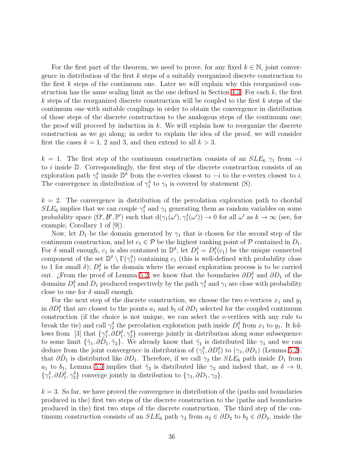For the first part of the theorem, we need to prove, for any fixed  $k \in \mathbb{N}$ , joint convergence in distribution of the first  $k$  steps of a suitably reorganized discrete construction to the first  $k$  steps of the continuum one. Later we will explain why this reorganized con-struction has the same scaling limit as the one defined in Section [4.3.](#page-18-1) For each  $k$ , the first k steps of the reorganized discrete construction will be coupled to the first  $k$  steps of the continuum one with suitable couplings in order to obtain the convergence in distribution of those steps of the discrete construction to the analogous steps of the continuum one; the proof will proceed by induction in  $k$ . We will explain how to reorganize the discrete construction as we go along; in order to explain the idea of the proof, we will consider first the cases  $k = 1, 2$  and 3, and then extend to all  $k > 3$ .

k = 1. The first step of the continuum construction consists of an  $SLE_6$   $\gamma_1$  from  $-i$ to i inside  $D$ . Correspondingly, the first step of the discrete construction consists of an exploration path  $\gamma_1^{\delta}$  inside  $\mathbb{D}^{\delta}$  from the e-vertex closest to  $-i$  to the e-vertex closest to i. The convergence in distribution of  $\gamma_1^{\delta}$  to  $\gamma_1$  is covered by statement (S).

 $k = 2$ . The convergence in distribution of the percolation exploration path to chordal  $SLE_6$  implies that we can couple  $\gamma_1^{\delta}$  and  $\gamma_1$  generating them as random variables on some probability space  $(\Omega', \mathcal{B}', \mathbb{P}')$  such that  $d(\gamma_1(\omega'), \gamma_1(\omega')) \to 0$  for all  $\omega'$  as  $k \to \infty$  (see, for example, Corollary 1 of [9]).

Now, let  $D_1$  be the domain generated by  $\gamma_1$  that is chosen for the second step of the continuum construction, and let  $c_1 \in \mathcal{P}$  be the highest ranking point of  $\mathcal P$  contained in  $D_1$ . For  $\delta$  small enough,  $c_1$  is also contained in  $\mathbb{D}^{\delta}$ ; let  $D_1^{\delta} = D_1^{\delta}(c_1)$  be the unique connected component of the set  $\mathbb{D}^{\delta} \setminus \Gamma(\gamma_1^{\delta})$  containing  $c_1$  (this is well-defined with probability close to 1 for small  $\delta$ );  $D_1^{\delta}$  is the domain where the second exploration process is to be carried out. ¿From the proof of Lemma [5.2,](#page-21-3) we know that the boundaries  $\partial D_1^{\delta}$  and  $\partial D_1$  of the domains  $D_1^{\delta}$  and  $D_1$  produced respectively by the path  $\gamma_1^{\delta}$  and  $\gamma_1$  are close with probability close to one for  $\delta$  small enough.

For the next step of the discrete construction, we choose the two e-vertices  $x_1$  and  $y_1$ in  $\partial D_1^{\delta}$  that are closest to the points  $a_1$  and  $b_1$  of  $\partial D_1$  selected for the coupled continuum construction (if the choice is not unique, we can select the e-vertices with any rule to break the tie) and call  $\gamma_2^{\delta}$  the percolation exploration path inside  $D_1^{\delta}$  from  $x_1$  to  $y_1$ . It follows from [3] that  $\{\gamma_1^{\delta}, \partial D_1^{\delta}, \gamma_2^{\delta}\}$  converge jointly in distribution along some subsequence to some limit  $\{\tilde{\gamma}_1, \partial \tilde{D}_1, \tilde{\gamma}_2\}$ . We already know that  $\tilde{\gamma}_1$  is distributed like  $\gamma_1$  and we can deduce from the joint convergence in distribution of  $(\gamma_1^{\delta}, \partial D_1^{\delta})$  to  $(\gamma_1, \partial D_1)$  (Lemma [5.2\)](#page-21-3), that  $\partial \tilde{D}_1$  is distributed like  $\partial D_1$ . Therefore, if we call  $\gamma_2$  the  $SLE_6$  path inside  $D_1$  from  $a_1$  to  $b_1$ , Lemma [5.3](#page-21-0) implies that  $\tilde{\gamma}_2$  is distributed like  $\gamma_2$  and indeed that, as  $\delta \to 0$ ,  $\{\gamma_1^{\delta}, \partial D_1^{\delta}, \gamma_2^{\delta}\}\)$  converge jointly in distribution to  $\{\gamma_1, \partial D_1, \gamma_2\}.$ 

 $k = 3$ . So far, we have proved the convergence in distribution of the (paths and boundaries produced in the) first two steps of the discrete construction to the (paths and boundaries produced in the) first two steps of the discrete construction. The third step of the continuum construction consists of an  $SLE_6$  path  $\gamma_3$  from  $a_2 \in \partial D_2$  to  $b_2 \in \partial D_2$ , inside the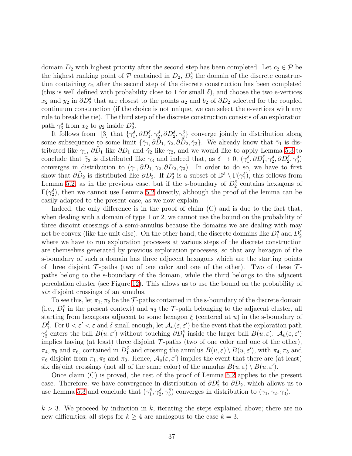domain  $D_2$  with highest priority after the second step has been completed. Let  $c_2 \in \mathcal{P}$  be the highest ranking point of  $P$  contained in  $D_2$ ,  $D_2^{\delta}$  the domain of the discrete construction containing  $c_2$  after the second step of the discrete construction has been completed (this is well defined with probability close to 1 for small  $\delta$ ), and choose the two e-vertices  $x_2$  and  $y_2$  in  $\partial D_2^{\delta}$  that are closest to the points  $a_2$  and  $b_2$  of  $\partial D_2$  selected for the coupled continuum construction (if the choice is not unique, we can select the e-vertices with any rule to break the tie). The third step of the discrete construction consists of an exploration path  $\gamma_3^{\delta}$  from  $x_2$  to  $y_2$  inside  $D_2^{\delta}$ .

It follows from [3] that  $\{\gamma_1^{\delta}, \partial D_1^{\delta}, \gamma_2^{\delta}, \partial D_2^{\delta}, \gamma_2^{\delta}\}\)$  converge jointly in distribution along some subsequence to some limit  $\{\tilde{\gamma}_1, \partial \tilde{D}_1, \tilde{\gamma}_2, \partial \tilde{D}_2, \tilde{\gamma}_3\}$ . We already know that  $\tilde{\gamma}_1$  is distributed like  $\gamma_1$ ,  $\partial \tilde{D}_1$  like  $\partial D_1$  and  $\tilde{\gamma}_2$  like  $\gamma_2$ , and we would like to apply Lemma [5.3](#page-21-0) to conclude that  $\tilde{\gamma}_3$  is distributed like  $\gamma_3$  and indeed that, as  $\delta \to 0$ ,  $(\gamma_1^{\delta}, \partial D_1^{\delta}, \gamma_2^{\delta}, \partial D_2^{\delta}, \gamma_3^{\delta})$ converges in distribution to  $(\gamma_1, \partial D_1, \gamma_2, \partial D_2, \gamma_3)$ . In order to do so, we have to first show that  $\partial \tilde{D}_2$  is distributed like  $\partial D_2$ . If  $D_2^{\delta}$  is a subset of  $\mathbb{D}^{\delta} \setminus \Gamma(\gamma_1^{\delta})$ , this follows from Lemma [5.2,](#page-21-3) as in the previous case, but if the s-boundary of  $D_2^{\delta}$  contains hexagons of  $\Gamma(\gamma_2^{\delta})$ , then we cannot use Lemma [5.2](#page-21-3) directly, although the proof of the lemma can be easily adapted to the present case, as we now explain.

Indeed, the only difference is in the proof of claim  $(C)$  and is due to the fact that, when dealing with a domain of type 1 or 2, we cannot use the bound on the probability of three disjoint crossings of a semi-annulus because the domains we are dealing with may not be convex (like the unit disc). On the other hand, the discrete domains like  $D_1^{\delta}$  and  $D_2^{\delta}$ where we have to run exploration processes at various steps of the discrete construction are themselves generated by previous exploration processes, so that any hexagon of the s-boundary of such a domain has three adjacent hexagons which are the starting points of three disjoint  $\mathcal{T}$ -paths (two of one color and one of the other). Two of these  $\mathcal{T}$ paths belong to the s-boundary of the domain, while the third belongs to the adjacent percolation cluster (see Figure [12\)](#page-37-0). This allows us to use the bound on the probability of six disjoint crossings of an annulus.

To see this, let  $\pi_1, \pi_2$  be the  $\mathcal T$ -paths contained in the s-boundary of the discrete domain (i.e.,  $D_1^{\delta}$  in the present context) and  $\pi_3$  the  $\mathcal{T}$ -path belonging to the adjacent cluster, all starting from hexagons adjacent to some hexagon  $\xi$  (centered at u) in the s-boundary of  $D_1^{\delta}$ . For  $0 < \varepsilon' < \varepsilon$  and  $\delta$  small enough, let  $\mathcal{A}_u(\varepsilon, \varepsilon')$  be the event that the exploration path  $\gamma_2^{\delta}$  enters the ball  $B(u,\varepsilon')$  without touching  $\partial D_1^{\delta}$  inside the larger ball  $B(u,\varepsilon)$ .  $\mathcal{A}_u(\varepsilon,\varepsilon')$ implies having (at least) three disjoint  $\mathcal{T}\text{-paths}$  (two of one color and one of the other),  $\pi_4$ ,  $\pi_5$  and  $\pi_6$ , contained in  $D_1^{\delta}$  and crossing the annulus  $B(u,\varepsilon) \setminus B(u,\varepsilon')$ , with  $\pi_4$ ,  $\pi_5$  and  $\pi_6$  disjoint from  $\pi_1$ ,  $\pi_2$  and  $\pi_3$ . Hence,  $\mathcal{A}_u(\varepsilon,\varepsilon')$  implies the event that there are (at least) six disjoint crossings (not all of the same color) of the annulus  $B(u, \varepsilon) \setminus B(u, \varepsilon')$ .

Once claim (C) is proved, the rest of the proof of Lemma [5.2](#page-21-3) applies to the present case. Therefore, we have convergence in distribution of  $\partial D_2^{\delta}$  to  $\partial D_2$ , which allows us to use Lemma [5.3](#page-21-0) and conclude that  $(\gamma_1^{\delta}, \gamma_2^{\delta}, \gamma_3^{\delta})$  converges in distribution to  $(\gamma_1, \gamma_2, \gamma_3)$ .

 $k > 3$ . We proceed by induction in k, iterating the steps explained above; there are no new difficulties; all steps for  $k \geq 4$  are analogous to the case  $k = 3$ .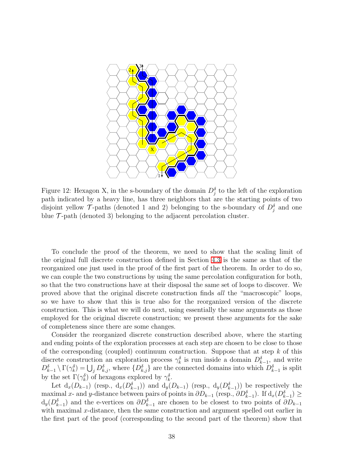

<span id="page-37-0"></span>Figure 12: Hexagon X, in the s-boundary of the domain  $D_j^{\delta}$  to the left of the exploration path indicated by a heavy line, has three neighbors that are the starting points of two disjoint yellow  $\mathcal{T}$ -paths (denoted 1 and 2) belonging to the s-boundary of  $D_j^{\delta}$  and one blue  $\mathcal{T}$ -path (denoted 3) belonging to the adjacent percolation cluster.

To conclude the proof of the theorem, we need to show that the scaling limit of the original full discrete construction defined in Section [4.3](#page-18-1) is the same as that of the reorganized one just used in the proof of the first part of the theorem. In order to do so, we can couple the two constructions by using the same percolation configuration for both, so that the two constructions have at their disposal the same set of loops to discover. We proved above that the original discrete construction finds all the "macroscopic" loops, so we have to show that this is true also for the reorganized version of the discrete construction. This is what we will do next, using essentially the same arguments as those employed for the original discrete construction; we present these arguments for the sake of completeness since there are some changes.

Consider the reorganized discrete construction described above, where the starting and ending points of the exploration processes at each step are chosen to be close to those of the corresponding (coupled) continuum construction. Suppose that at step  $k$  of this discrete construction an exploration process  $\gamma_k^{\delta}$  is run inside a domain  $D_{k-1}^{\delta}$ , and write  $D_{k-1}^{\delta} \setminus \Gamma(\gamma_k^{\delta}) = \bigcup_j D_{k,j}^{\delta}$ , where  $\{D_{k,j}^{\delta}\}$  are the connected domains into which  $D_{k-1}^{\delta}$  is split by the set  $\Gamma(\gamma_k^{\delta})$  of hexagons explored by  $\gamma_k^{\delta}$ .

Let  $d_x(D_{k-1})$  (resp.,  $d_x(D_{k-1}^{\delta})$ ) and  $d_y(D_{k-1})$  (resp.,  $d_y(D_{k-1}^{\delta})$ ) be respectively the maximal x- and y-distance between pairs of points in  $\partial D_{k-1}$  (resp.,  $\partial D_{k-1}^{\delta}$ ). If  $d_x(D_{k-1}^{\delta}) \ge$  $d_y(D_{k-1}^{\delta})$  and the e-vertices on  $\partial D_{k-1}^{\delta}$  are chosen to be closest to two points of  $\partial D_{k-1}$ with maximal  $x$ -distance, then the same construction and argument spelled out earlier in the first part of the proof (corresponding to the second part of the theorem) show that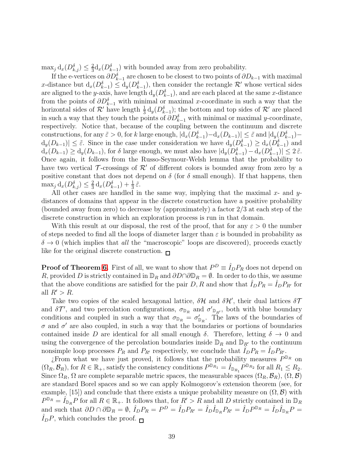$\max_j \mathrm{d}_x(D_{k,j}^{\delta}) \leq \frac{2}{3}$  $\frac{2}{3}d_x(D_{k-1}^{\delta})$  with bounded away from zero probability.

If the e-vertices on  $\partial D_{k-1}^{\delta}$  are chosen to be closest to two points of  $\partial D_{k-1}$  with maximal x-distance but  $d_x(D_{k-1}^{\delta}) \leq d_y(D_{k-1}^{\delta})$ , then consider the rectangle  $\mathcal{R}'$  whose vertical sides are aligned to the y-axis, have length  $d_y(D_{k-1}^{\delta})$ , and are each placed at the same x-distance from the points of  $\partial D_{k-1}^{\delta}$  with minimal or maximal x-coordinate in such a way that the horizontal sides of  $\mathcal{R}'$  have length  $\frac{1}{3} d_y(D_{k-1}^{\delta})$ ; the bottom and top sides of  $\mathcal{R}'$  are placed in such a way that they touch the points of  $\partial D_{k-1}^{\delta}$  with minimal or maximal y-coordinate, respectively. Notice that, because of the coupling between the continuum and discrete constructions, for any  $\tilde{\varepsilon} > 0$ , for k large enough,  $|d_x(D_{k-1}^{\delta}) - d_x(D_{k-1})| \leq \tilde{\varepsilon}$  and  $|d_y(D_{k-1}^{\delta}) - d_x(D_{k-1}^{\delta})|$  $d_y(D_{k-1}) \leq \tilde{\varepsilon}$ . Since in the case under consideration we have  $d_y(D_{k-1}^{\delta}) \geq d_x(D_{k-1}^{\delta})$  and  $d_x(D_{k-1}) \ge d_y(D_{k-1}),$  for  $\delta$  large enough, we must also have  $|d_y(D_{k-1}^{\delta}) - d_x(D_{k-1}^{\delta})| \le 2 \tilde{\varepsilon}.$ Once again, it follows from the Russo-Seymour-Welsh lemma that the probability to have two vertical  $\mathcal T$ -crossings of  $\mathcal R'$  of different colors is bounded away from zero by a positive constant that does not depend on  $\delta$  (for  $\delta$  small enough). If that happens, then  $\max_j \mathrm{d}_x(D_{k,j}^{\delta}) \leq \frac{2}{3}$  $\frac{2}{3}d_x(D_{k-1}^{\delta})+\frac{1}{3}\tilde{\varepsilon}.$ 

All other cases are handled in the same way, implying that the maximal  $x$ - and  $y$ distances of domains that appear in the discrete construction have a positive probability (bounded away from zero) to decrease by (approximately) a factor 2/3 at each step of the discrete construction in which an exploration process is run in that domain.

With this result at our disposal, the rest of the proof, that for any  $\varepsilon > 0$  the number of steps needed to find all the loops of diameter larger than  $\varepsilon$  is bounded in probability as  $\delta \to 0$  (which implies that *all* the "macroscopic" loops are discovered), proceeds exactly like for the original discrete construction.  $\Box$ 

**Proof of Theorem [6.](#page-22-0)** First of all, we want to show that  $P^D \equiv \hat{I}_D P_R$  does not depend on R, provided D is strictly contained in  $\mathbb{D}_R$  and  $\partial D \cap \partial \mathbb{D}_R = \emptyset$ . In order to do this, we assume that the above conditions are satisfied for the pair D, R and show that  $I_D P_R = I_D P_{R'}$  for all  $R' > R$ .

Take two copies of the scaled hexagonal lattice,  $\delta \mathcal{H}$  and  $\delta \mathcal{H}'$ , their dual lattices  $\delta \mathcal{T}$ and  $\delta \mathcal{T}'$ , and two percolation configurations,  $\sigma_{\mathbb{D}_R}$  and  $\sigma'_{\mathbb{D}_{R'}}$ , both with blue boundary conditions and coupled in such a way that  $\sigma_{\mathbb{D}_R} = \sigma'_{\mathbb{D}_R}$ . The laws of the boundaries of  $\sigma$  and  $\sigma'$  are also coupled, in such a way that the boundaries or portions of boundaries contained inside D are identical for all small enough  $\delta$ . Therefore, letting  $\delta \to 0$  and using the convergence of the percolation boundaries inside  $\mathbb{D}_R$  and  $\mathbb{D}_{R'}$  to the continuum nonsimple loop processes  $P_R$  and  $P_{R'}$  respectively, we conclude that  $\hat{I}_D P_R = \hat{I}_D P_{R'}$ .

¿From what we have just proved, it follows that the probability measures  $P^{\mathbb{D}_R}$  on  $(\Omega_R, \mathcal{B}_R)$ , for  $R \in \mathbb{R}_+$ , satisfy the consistency conditions  $P^{\mathbb{D}_{R_1}} = \hat{I}_{\mathbb{D}_{R_1}} P^{\mathbb{D}_{R_2}}$  for all  $R_1 \leq R_2$ . Since  $\Omega_R$ ,  $\Omega$  are complete separable metric spaces, the measurable spaces  $(\Omega_R, \mathcal{B}_R)$ ,  $(\Omega, \mathcal{B})$ are standard Borel spaces and so we can apply Kolmogorov's extension theorem (see, for example, [15]) and conclude that there exists a unique probability measure on  $(\Omega, \mathcal{B})$  with  $P^{\mathbb{D}_R} = \hat{I}_{\mathbb{D}_R} P$  for all  $R \in \mathbb{R}_+$ . It follows that, for  $R' > R$  and all D strictly contained in  $\mathbb{D}_R$ and such that  $\partial D \cap \partial \mathbb{D}_R = \emptyset$ ,  $\hat{I}_D P_R = P^D = \hat{I}_D P_{R'} = \hat{I}_D \hat{I}_{\mathbb{D}_R} P_R = \hat{I}_D P^{\mathbb{D}_R} = \hat{I}_D \hat{I}_{\mathbb{D}_R} P =$  $I<sub>D</sub>P$ , which concludes the proof.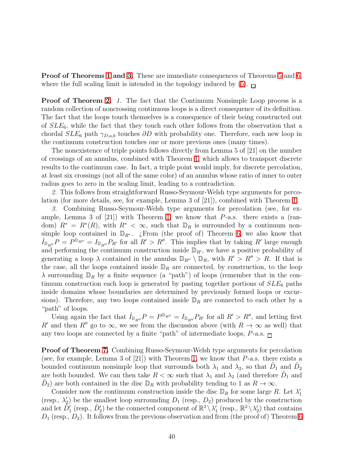Proof of Theorems [1](#page-3-1) and [3.](#page-4-0) These are immediate consequences of Theorems [5](#page-22-1) and [6,](#page-22-0) where the full scaling limit is intended in the topology induced by  $(5)$ .

**Proof of Theorem [2.](#page-3-2)** 1. The fact that the Continuum Nonsimple Loop process is a random collection of noncrossing continuous loops is a direct consequence of its definition. The fact that the loops touch themselves is a consequence of their being constructed out of  $SLE_6$ , while the fact that they touch each other follows from the observation that a chordal  $SLE_6$  path  $\gamma_{D,a,b}$  touches  $\partial D$  with probability one. Therefore, each new loop in the continuum construction touches one or more previous ones (many times).

The nonexistence of triple points follows directly from Lemma 5 of [21] on the number of crossings of an annulus, combined with Theorem [1,](#page-3-1) which allows to transport discrete results to the continuum case. In fact, a triple point would imply, for discrete percolation, at least six crossings (not all of the same color) of an annulus whose ratio of inner to outer radius goes to zero in the scaling limit, leading to a contradiction.

2. This follows from straightforward Russo-Seymour-Welsh type arguments for percolation (for more details, see, for example, Lemma 3 of [21]), combined with Theorem [1.](#page-3-1)

3. Combining Russo-Seymour-Welsh type arguments for percolation (see, for example, Lemma 3 of  $[21]$ ) with Theorem [1,](#page-3-1) we know that P-a.s. there exists a (random)  $R^* = R^*(R)$ , with  $R^* < \infty$ , such that  $\mathbb{D}_R$  is surrounded by a continuum nonsimple loop contained in  $\mathbb{D}_{R^*}$ . ¿From (the proof of) Theorem [6,](#page-22-0) we also know that  $\hat{I}_{\mathbb{D}_{R''}}P = P^{\mathbb{D}_{R''}} = I_{\mathbb{D}_{R''}}P_{R'}$  for all  $R' > R''$ . This implies that by taking R' large enough and performing the continuum construction inside  $\mathbb{D}_{R'}$ , we have a positive probability of generating a loop  $\lambda$  contained in the annulus  $\mathbb{D}_{R''} \setminus \mathbb{D}_R$ , with  $R' > R'' > R$ . If that is the case, all the loops contained inside  $\mathbb{D}_R$  are connected, by construction, to the loop  $\lambda$  surrounding  $\mathbb{D}_R$  by a finite sequence (a "path") of loops (remember that in the continuum construction each loop is generated by pasting together portions of  $SLE_6$  paths inside domains whose boundaries are determined by previously formed loops or excursions). Therefore, any two loops contained inside  $\mathbb{D}_R$  are connected to each other by a "path" of loops.

Using again the fact that  $\hat{I}_{\mathbb{D}_{R''}}P = P^{\mathbb{D}_{R''}} = I_{\mathbb{D}_{R''}}P_{R'}$  for all  $R' > R''$ , and letting first R' and then R'' go to  $\infty$ , we see from the discussion above (with  $R \to \infty$  as well) that any two loops are connected by a finite "path" of intermediate loops,  $P$ -a.s.  $\Box$ 

Proof of Theorem [7.](#page-23-0) Combining Russo-Seymour-Welsh type arguments for percolation (see, for example, Lemma 3 of  $[21]$ ) with Theorem [1,](#page-3-1) we know that P-a.s. there exists a bounded continuum nonsimple loop that surrounds both  $\lambda_1$  and  $\lambda_2$ , so that  $\tilde{D}_1$  and  $\tilde{D}_2$ are both bounded. We can then take  $R < \infty$  such that  $\lambda_1$  and  $\lambda_2$  (and therefore  $\tilde{D}_1$  and  $\tilde{D}_2$  are both contained in the disc  $\mathbb{D}_R$  with probability tending to 1 as  $R \to \infty$ .

Consider now the continuum construction inside the disc  $\mathbb{D}_R$  for some large R. Let  $\lambda'_1$ (resp.,  $\lambda_2'$ ) be the smallest loop surrounding  $D_1$  (resp.,  $D_2$ ) produced by the construction and let  $\tilde{D}'_1$  (resp.,  $\tilde{D}'_2$ ) be the connected component of  $\mathbb{R}^2 \setminus \lambda'_1$  (resp.,  $\mathbb{R}^2 \setminus \lambda'_2$ ) that contains  $D_1$  (resp.,  $D_2$ ). It follows from the previous observation and from (the proof of) Theorem [6](#page-22-0)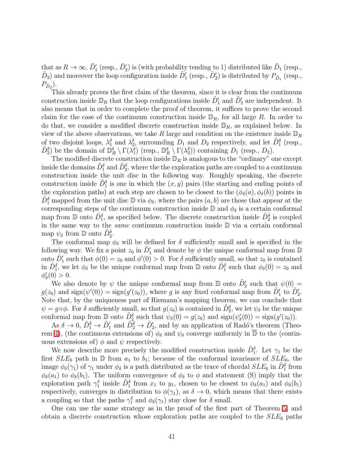that as  $R \to \infty$ ,  $\tilde{D}'_1$  (resp.,  $\tilde{D}'_2$ ) is (with probability tending to 1) distributed like  $\tilde{D}_1$  (resp.,  $(\tilde{D}_2)$  and moreover the loop configuration inside  $(\tilde{D}'_1$  (resp.,  $(\tilde{D}'_2)$ ) is distributed by  $P_{\tilde{D}_1}$  (resp.,  $P_{\tilde{D}_2}$ ).

This already proves the first claim of the theorem, since it is clear from the continuum construction inside  $\mathbb{D}_R$  that the loop configurations inside  $\tilde{D}'_1$  and  $\tilde{D}'_2$  are independent. It also means that in order to complete the proof of theorem, it suffices to prove the second claim for the case of the continuum construction inside  $\mathbb{D}_R$ , for all large R. In order to do that, we consider a modified discrete construction inside  $\mathbb{D}_R$ , as explained below. In view of the above observations, we take R large and condition on the existence inside  $\mathbb{D}_R$ of two disjoint loops,  $\lambda_1^{\delta}$  and  $\lambda_2^{\delta}$ , surrounding  $D_1$  and  $D_2$  respectively, and let  $\tilde{D}_1^{\delta}$  (resp.,  $\tilde{D}_2^{\delta}$  be the domain of  $\mathbb{D}_R^{\delta} \setminus \Gamma(\lambda_1^{\delta})$  (resp.,  $\mathbb{D}_R^{\delta} \setminus \Gamma(\lambda_2^{\delta})$ ) containing  $D_1$  (resp.,  $D_2$ ).

The modified discrete construction inside  $\mathbb{D}_R$  is analogous to the "ordinary" one except inside the domains  $\tilde{D}_1^{\delta}$  and  $\tilde{D}_2^{\delta}$ , where the the exploration paths are coupled to a continuum construction inside the unit disc in the following way. Roughly speaking, the discrete construction inside  $\tilde{D}_1^{\delta}$  is one in which the  $(x, y)$  pairs (the starting and ending points of the exploration paths) at each step are chosen to be closest to the  $(\phi_{\delta}(a), \phi_{\delta}(b))$  points in  $\tilde{D}_1^{\delta}$  mapped from the unit disc  $\mathbb{D}$  via  $\phi_{\delta}$ , where the pairs  $(a, b)$  are those that appear at the corresponding steps of the continuum construction inside  $\mathbb{D}$  and  $\phi_{\delta}$  is a certain conformal map from  $\mathbb{D}$  onto  $\tilde{D}_1^{\delta}$ , as specified below. The discrete construction inside  $\tilde{D}_2^{\delta}$  is coupled in the same way to the same continuum construction inside D via a certain conformal map  $\psi_{\delta}$  from  $\mathbb{D}$  onto  $\tilde{D}_{2}^{\delta}$ .

The conformal map  $\phi_{\delta}$  will be defined for  $\delta$  sufficiently small and is specified in the following way. We fix a point  $z_0$  in  $\tilde{D}'_1$  and denote by  $\phi$  the unique conformal map from  $\mathbb D$ onto  $\tilde{D}'_1$  such that  $\phi(0) = z_0$  and  $\phi'(0) > 0$ . For  $\delta$  sufficiently small, so that  $z_0$  is contained in  $\tilde{D}_1^{\delta}$ , we let  $\phi_{\delta}$  be the unique conformal map from  $\mathbb{D}$  onto  $\tilde{D}_1^{\delta}$  such that  $\phi_{\delta}(0) = z_0$  and  $\phi'_{\delta}(0) > 0.$ 

We also denote by  $\psi$  the unique conformal map from  $\mathbb D$  onto  $\tilde{D}'_2$  such that  $\psi(0)$  =  $g(z_0)$  and  $sign(\psi'(0)) = sign(g'(z_0))$ , where g is any fixed conformal map from  $\tilde{D}'_1$  to  $\tilde{D}'_2$ . Note that, by the uniqueness part of Riemann's mapping theorem, we can conclude that  $\psi = g \circ \phi$ . For  $\delta$  sufficiently small, so that  $g(z_0)$  is contained in  $\tilde{D}_2^{\delta}$ , we let  $\psi_{\delta}$  be the unique conformal map from  $\mathbb{D}$  onto  $\tilde{D}_2^{\delta}$  such that  $\psi_{\delta}(0) = g(z_0)$  and  $sign(\psi'_{\delta}(0)) = sign(g'(z_0)).$ 

As  $\delta \to 0$ ,  $\tilde{D}_1^{\delta} \to \tilde{D}_1'$  and  $\tilde{D}_2^{\delta} \to \tilde{D}_2'$ , and by an application of Radó's theorem (Theo-rem [4\)](#page-9-0), (the continuous extensions of)  $\phi_{\delta}$  and  $\psi_{\delta}$  converge uniformly in  $\overline{\mathbb{D}}$  to the (continuous extensions of)  $\phi$  and  $\psi$  respectively.

We now describe more precisely the modified construction inside  $\tilde{D}_1^{\delta}$ . Let  $\gamma_1$  be the first  $SLE_6$  path in  $\mathbb D$  from  $a_1$  to  $b_1$ ; because of the conformal invariance of  $SLE_6$ , the image  $\phi_{\delta}(\gamma_1)$  of  $\gamma_1$  under  $\phi_{\delta}$  is a path distributed as the trace of chordal  $SLE_6$  in  $\tilde{D}_1^{\delta}$  from  $\phi_{\delta}(a_1)$  to  $\phi_{\delta}(b_1)$ . The uniform convergence of  $\phi_{\delta}$  to  $\phi$  and statement (S) imply that the exploration path  $\gamma_1^{\delta}$  inside  $\tilde{D}_1^{\delta}$  from  $x_1$  to  $y_1$ , chosen to be closest to  $\phi_{\delta}(a_1)$  and  $\phi_{\delta}(b_1)$ respectively, converges in distribution to  $\phi(\gamma_1)$ , as  $\delta \to 0$ , which means that there exists a coupling so that the paths  $\gamma_1^{\delta}$  and  $\phi_{\delta}(\gamma_1)$  stay close for  $\delta$  small.

One can use the same strategy as in the proof of the first part of Theorem [5,](#page-22-1) and obtain a discrete construction whose exploration paths are coupled to the  $SLE_6$  paths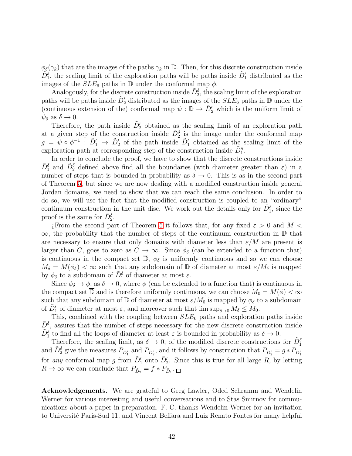$\phi_{\delta}(\gamma_k)$  that are the images of the paths  $\gamma_k$  in D. Then, for this discrete construction inside  $\tilde{D}_1^{\delta}$ , the scaling limit of the exploration paths will be paths inside  $\tilde{D}'_1$  distributed as the images of the  $SLE_6$  paths in D under the conformal map  $\phi$ .

Analogously, for the discrete construction inside  $\tilde{D}_2^{\delta}$ , the scaling limit of the exploration paths will be paths inside  $\tilde{D}'_2$  distributed as the images of the  $SLE_6$  paths in  $\mathbb D$  under the (continuous extension of the) conformal map  $\psi : \mathbb{D} \to \tilde{D}'_2$  which is the uniform limit of  $\psi_{\delta}$  as  $\delta \rightarrow 0$ .

Therefore, the path inside  $\tilde{D}'_2$  obtained as the scaling limit of an exploration path at a given step of the construction inside  $\tilde{D}_2^{\delta}$  is the image under the conformal map  $g = \psi \circ \phi^{-1} : \tilde{D}'_1 \to \tilde{D}'_2$  of the path inside  $\tilde{D}'_1$  obtained as the scaling limit of the exploration path at corresponding step of the construction inside  $\tilde{D}_1^{\delta}$ .

In order to conclude the proof, we have to show that the discrete constructions inside  $\tilde{D}_1^{\delta}$  and  $\tilde{D}_2^{\delta}$  defined above find all the boundaries (with diameter greater than  $\varepsilon$ ) in a number of steps that is bounded in probability as  $\delta \to 0$ . This is as in the second part of Theorem [5,](#page-22-1) but since we are now dealing with a modified construction inside general Jordan domains, we need to show that we can reach the same conclusion. In order to do so, we will use the fact that the modified construction is coupled to an "ordinary" continuum construction in the unit disc. We work out the details only for  $\tilde{D}_1^{\delta}$ , since the proof is the same for  $\tilde{D}_2^{\delta}$ .

 $\zeta$ From the second part of Theorem [5](#page-22-1) it follows that, for any fixed  $\varepsilon > 0$  and  $M <$  $\infty$ , the probability that the number of steps of the continuum construction in  $\mathbb D$  that are necessary to ensure that only domains with diameter less than  $\varepsilon/M$  are present is larger than C, goes to zero as  $C \to \infty$ . Since  $\phi_{\delta}$  (can be extended to a function that) is continuous in the compact set  $\overline{\mathbb{D}}$ ,  $\phi_{\delta}$  is uniformly continuous and so we can choose  $M_{\delta} = M(\phi_{\delta}) < \infty$  such that any subdomain of D of diameter at most  $\varepsilon/M_{\delta}$  is mapped by  $\phi_{\delta}$  to a subdomain of  $\tilde{D}_{1}^{\delta}$  of diameter at most  $\varepsilon$ .

Since  $\phi_{\delta} \to \phi$ , as  $\delta \to 0$ , where  $\phi$  (can be extended to a function that) is continuous in the compact set  $\overline{\mathbb{D}}$  and is therefore uniformly continuous, we can choose  $M_0 = M(\phi) < \infty$ such that any subdomain of  $\mathbb D$  of diameter at most  $\varepsilon/M_0$  is mapped by  $\phi_\delta$  to a subdomain of  $\tilde{D}'_1$  of diameter at most  $\varepsilon$ , and moreover such that  $\limsup_{\delta \to 0} M_\delta \leq M_0$ .

This, combined with the coupling between  $SLE_6$  paths and exploration paths inside  $\tilde{D}^{\delta}$ , assures that the number of steps necessary for the new discrete construction inside  $\tilde{D}_1^{\delta}$  to find all the loops of diameter at least  $\varepsilon$  is bounded in probability as  $\delta \to 0$ .

Therefore, the scaling limit, as  $\delta \to 0$ , of the modified discrete constructions for  $\tilde{D}_1^{\delta}$ and  $\tilde{D}_2^{\delta}$  give the measures  $P_{\tilde{D}'_1}$  and  $P_{\tilde{D}'_2}$ , and it follows by construction that  $P_{\tilde{D}'_2} = g * P_{\tilde{D}'_1}$ for any conformal map g from  $\tilde{D}'_1$  onto  $\tilde{D}'_2$ . Since this is true for all large R, by letting  $R \to \infty$  we can conclude that  $P_{\tilde{D}_2} = f * P_{\tilde{D}_1}$ .

Acknowledgements. We are grateful to Greg Lawler, Oded Schramm and Wendelin Werner for various interesting and useful conversations and to Stas Smirnov for communications about a paper in preparation. F. C. thanks Wendelin Werner for an invitation to Université Paris-Sud 11, and Vincent Beffara and Luiz Renato Fontes for many helpful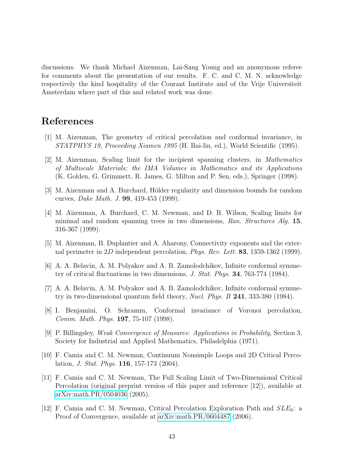discussions. We thank Michael Aizenman, Lai-Sang Young and an anonymous referee for comments about the presentation of our results. F. C. and C. M. N. acknowledge respectively the kind hospitality of the Courant Institute and of the Vrije Universiteit Amsterdam where part of this and related work was done.

# References

- [1] M. Aizenman, The geometry of critical percolation and conformal invariance, in STATPHYS 19, Proceeding Xiamen 1995 (H. Bai-lin, ed.), World Scientific (1995).
- [2] M. Aizenman, Scaling limit for the incipient spanning clusters, in Mathematics of Multiscale Materials; the IMA Volumes in Mathematics and its Applications (K. Golden, G. Grimmett, R. James, G. Milton and P. Sen, eds.), Springer (1998).
- [3] M. Aizenman and A. Burchard, Hölder regularity and dimension bounds for random curves, Duke Math. J. 99, 419-453 (1999).
- [4] M. Aizenman, A. Burchard, C. M. Newman, and D. B. Wilson, Scaling limits for minimal and random spanning trees in two dimensions,  $Ran$ . Structures Alg. 15, 316-367 (1999).
- [5] M. Aizenman, B. Duplantier and A. Aharony, Connectivity exponents and the external perimeter in 2D independent percolation, *Phys. Rev. Lett.* **83**, 1359-1362 (1999).
- [6] A. A. Belavin, A. M. Polyakov and A. B. Zamolodchikov, Infinite conformal symmetry of critical fluctuations in two dimensions, J. Stat. Phys. 34, 763-774 (1984).
- [7] A. A. Belavin, A. M. Polyakov and A. B. Zamolodchikov, Infinite conformal symmetry in two-dimensional quantum field theory, *Nucl. Phys. B* 241, 333-380 (1984).
- [8] I. Benjamini, O. Schramm, Conformal invariance of Voronoi percolation, Comm. Math. Phys. 197, 75-107 (1998).
- [9] P. Billingsley, Weak Convergence of Measures: Applications in Probability, Section 3, Society for Industrial and Applied Mathematics, Philadelphia (1971).
- [10] F. Camia and C. M. Newman, Continuum Nonsimple Loops and 2D Critical Percolation, *J. Stat. Phys.* **116**, 157-173  $(2004)$ .
- [11] F. Camia and C. M. Newman, The Full Scaling Limit of Two-Dimensional Critical Percolation (original preprint version of this paper and reference [12]), available at [arXiv:math.PR/0504036](http://arxiv.org/abs/math/0504036) (2005).
- [12] F. Camia and C. M. Newman, Critical Percolation Exploration Path and  $SLE_6$ : a Proof of Convergence, available at [arXiv:math.PR/0604487](http://arxiv.org/abs/math/0604487) (2006).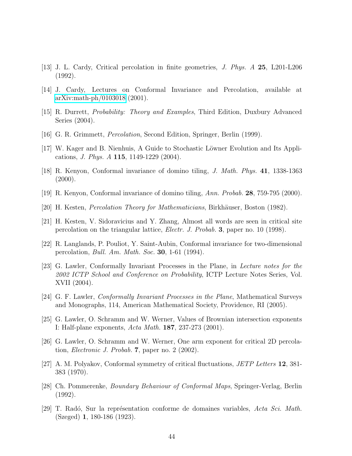- [13] J. L. Cardy, Critical percolation in finite geometries, J. Phys. A 25, L201-L206 (1992).
- [14] J. Cardy, Lectures on Conformal Invariance and Percolation, available at [arXiv:math-ph/0103018](http://arxiv.org/abs/math-ph/0103018) (2001).
- [15] R. Durrett, Probability: Theory and Examples, Third Edition, Duxbury Advanced Series (2004).
- [16] G. R. Grimmett, Percolation, Second Edition, Springer, Berlin (1999).
- [17] W. Kager and B. Nienhuis, A Guide to Stochastic Löwner Evolution and Its Applications, J. Phys. A 115, 1149-1229 (2004).
- [18] R. Kenyon, Conformal invariance of domino tiling, J. Math. Phys. 41, 1338-1363  $(2000).$
- [19] R. Kenyon, Conformal invariance of domino tiling, Ann. Probab. 28, 759-795 (2000).
- [20] H. Kesten, *Percolation Theory for Mathematicians*, Birkhäuser, Boston (1982).
- [21] H. Kesten, V. Sidoravicius and Y. Zhang, Almost all words are seen in critical site percolation on the triangular lattice, Electr. J. Probab. 3, paper no. 10 (1998).
- [22] R. Langlands, P. Pouliot, Y. Saint-Aubin, Conformal invariance for two-dimensional percolation, Bull. Am. Math. Soc. 30, 1-61 (1994).
- [23] G. Lawler, Conformally Invariant Processes in the Plane, in Lecture notes for the 2002 ICTP School and Conference on Probability, ICTP Lecture Notes Series, Vol. XVII (2004).
- [24] G. F. Lawler, Conformally Invariant Processes in the Plane, Mathematical Surveys and Monographs, 114, American Mathematical Society, Providence, RI (2005).
- [25] G. Lawler, O. Schramm and W. Werner, Values of Brownian intersection exponents I: Half-plane exponents, Acta Math. 187, 237-273 (2001).
- [26] G. Lawler, O. Schramm and W. Werner, One arm exponent for critical 2D percolation, *Electronic J. Probab.* 7, paper no.  $2$   $(2002)$ .
- [27] A. M. Polyakov, Conformal symmetry of critical fluctuations, JETP Letters 12, 381- 383 (1970).
- [28] Ch. Pommerenke, Boundary Behaviour of Conformal Maps, Springer-Verlag, Berlin (1992).
- [29] T. Radó, Sur la représentation conforme de domaines variables, Acta Sci. Math. (Szeged) 1, 180-186 (1923).